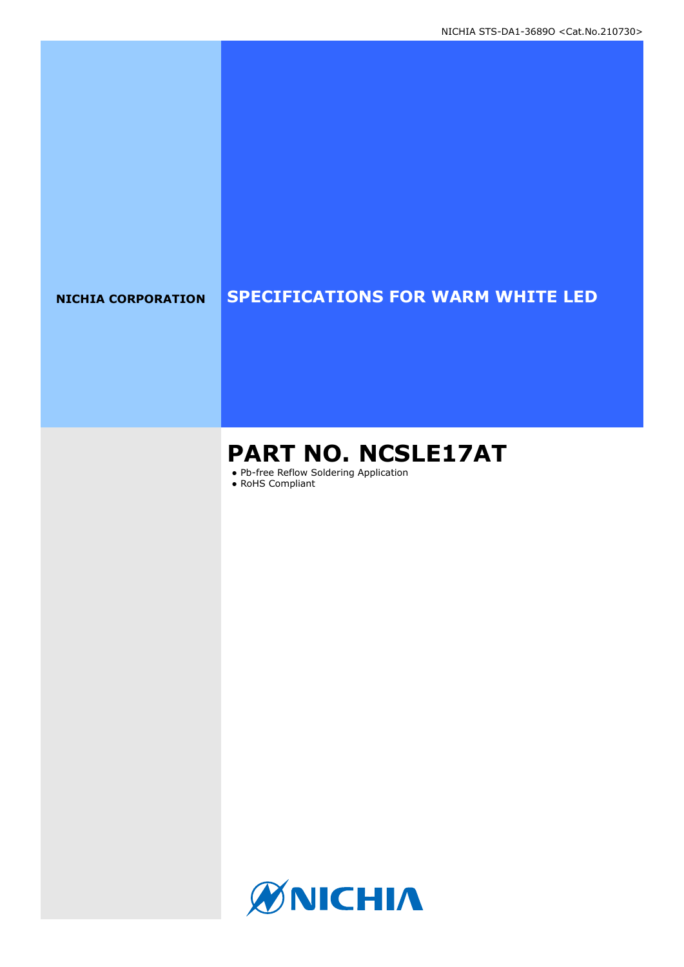### **NICHIA CORPORATION SPECIFICATIONS FOR WARM WHITE LED**

# **PART NO. NCSLE17AT**

● Pb-free Reflow Soldering Application

● RoHS Compliant

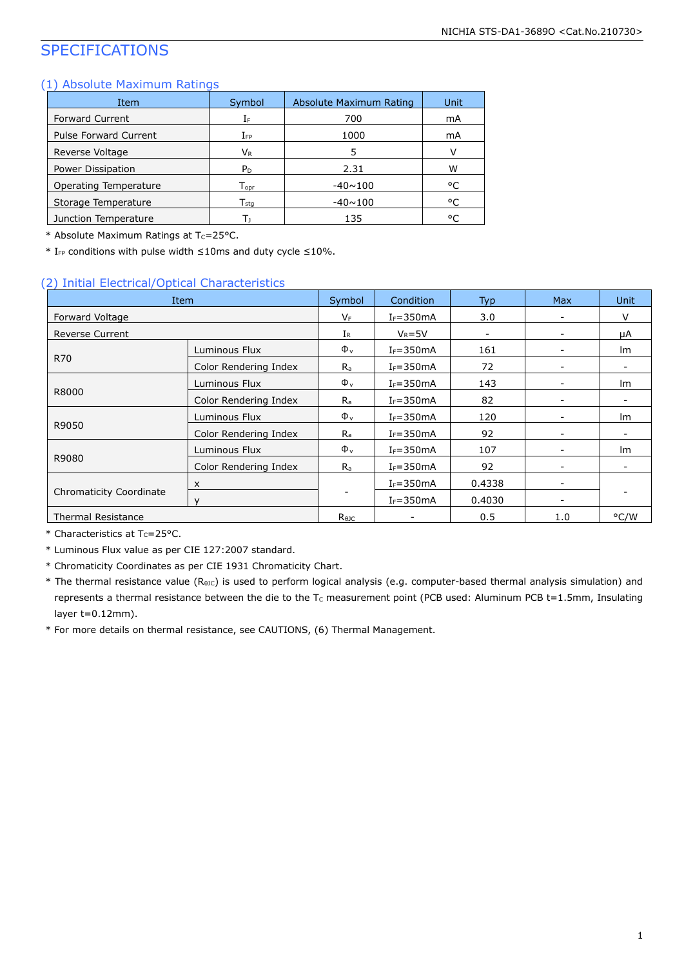### SPECIFICATIONS

#### (1) Absolute Maximum Ratings

| Item                         | Symbol                      | Absolute Maximum Rating | Unit |
|------------------------------|-----------------------------|-------------------------|------|
| <b>Forward Current</b>       | ΙF                          | 700                     | mA   |
| <b>Pulse Forward Current</b> | Ifp                         | 1000                    | mA   |
| Reverse Voltage              | $V_{R}$                     | 5                       |      |
| Power Dissipation            | P <sub>D</sub>              | 2.31                    | w    |
| Operating Temperature        | $\mathsf{T}_{\mathsf{opr}}$ | $-40 \sim 100$          | ۰c   |
| Storage Temperature          | $\mathsf{T}_{\mathsf{stq}}$ | $-40 \sim 100$          | ۰c   |
| Junction Temperature         | т.                          | 135                     | ۰ς   |

\* Absolute Maximum Ratings at  $T_c = 25$ °C.

 $*$  I<sub>FP</sub> conditions with pulse width ≤10ms and duty cycle ≤10%.

#### (2) Initial Electrical/Optical Characteristics

| Item                      |                           | Symbol         | Condition     | <b>Max</b><br><b>Typ</b> |                          | <b>Unit</b>              |  |
|---------------------------|---------------------------|----------------|---------------|--------------------------|--------------------------|--------------------------|--|
| Forward Voltage           |                           | $V_F$          | $I_F = 350mA$ | 3.0                      | -                        | $\vee$                   |  |
| <b>Reverse Current</b>    |                           | $I_{R}$        | $V_R = 5V$    | -                        |                          | μA                       |  |
|                           | Luminous Flux             | $\Phi_{\rm v}$ | $I_F = 350mA$ | 161                      |                          | lm                       |  |
| R70                       | Color Rendering Index     | $R_{a}$        | $I_F = 350mA$ | 72                       |                          |                          |  |
|                           | Luminous Flux             | $\Phi_{\rm v}$ | $I_F = 350mA$ | 143                      |                          | lm                       |  |
| R8000                     | Color Rendering Index     | $R_{a}$        | $I_F = 350mA$ | 82                       | $\overline{\phantom{a}}$ | $\overline{\phantom{a}}$ |  |
|                           | Luminous Flux             | $\Phi_{v}$     | $I_F = 350mA$ | 120                      |                          | Im                       |  |
| R9050                     | Color Rendering Index     | $R_{a}$        | $I_F = 350mA$ | 92                       |                          | ۰.                       |  |
|                           | Luminous Flux             | $\Phi_{v}$     | $I_F = 350mA$ | 107                      | -                        | lm                       |  |
| R9080                     | Color Rendering Index     | $R_{a}$        | $I_F = 350mA$ | 92                       | ۰                        | $\overline{\phantom{0}}$ |  |
|                           | $\boldsymbol{\mathsf{x}}$ |                | $I_F = 350mA$ | 0.4338                   | -                        |                          |  |
| Chromaticity Coordinate   | $\vee$                    |                | $I_F = 350mA$ | 0.4030                   |                          |                          |  |
| <b>Thermal Resistance</b> |                           | $R_{\theta$ JC |               | 0.5                      | 1.0                      | °C/W                     |  |

 $*$  Characteristics at T<sub>c</sub>=25°C.

\* Luminous Flux value as per CIE 127:2007 standard.

\* Chromaticity Coordinates as per CIE 1931 Chromaticity Chart.

\* The thermal resistance value (R<sub>θJC</sub>) is used to perform logical analysis (e.g. computer-based thermal analysis simulation) and represents a thermal resistance between the die to the  $T_c$  measurement point (PCB used: Aluminum PCB t=1.5mm, Insulating layer t=0.12mm).

\* For more details on thermal resistance, see CAUTIONS, (6) Thermal Management.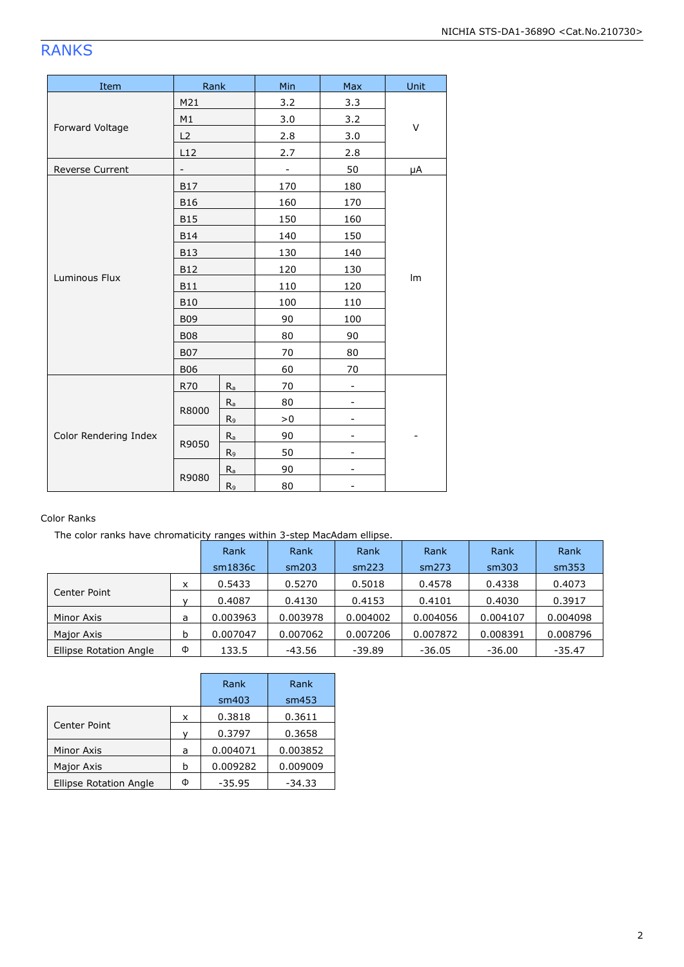### RANKS

| Item                  | Rank              |                | Min | Max | Unit |  |
|-----------------------|-------------------|----------------|-----|-----|------|--|
|                       | M21               |                | 3.2 | 3.3 |      |  |
|                       | M1                |                | 3.0 | 3.2 |      |  |
| Forward Voltage       | L2                |                | 2.8 | 3.0 | V    |  |
|                       | L12               |                | 2.7 | 2.8 |      |  |
| Reverse Current       | $\qquad \qquad -$ |                | -   | 50  | μA   |  |
|                       | <b>B17</b>        |                | 170 | 180 |      |  |
|                       | <b>B16</b>        |                | 160 | 170 |      |  |
|                       | <b>B15</b>        |                | 150 | 160 |      |  |
|                       | <b>B14</b>        |                | 140 | 150 |      |  |
|                       | <b>B13</b>        |                | 130 | 140 |      |  |
|                       | <b>B12</b>        |                | 120 | 130 |      |  |
| Luminous Flux         | <b>B11</b>        |                | 110 | 120 | Im   |  |
|                       | <b>B10</b>        |                | 100 | 110 |      |  |
|                       | <b>B09</b>        |                | 90  | 100 |      |  |
|                       | <b>B08</b>        |                | 80  | 90  |      |  |
|                       | <b>B07</b>        |                | 70  | 80  |      |  |
|                       | <b>B06</b>        |                | 60  | 70  |      |  |
|                       | <b>R70</b>        | $R_a$          | 70  |     |      |  |
|                       |                   | $R_{a}$        | 80  |     |      |  |
|                       | R8000             | R <sub>9</sub> | > 0 |     |      |  |
| Color Rendering Index |                   | $R_{a}$        | 90  |     |      |  |
|                       | R9050             | R9             | 50  |     |      |  |
|                       |                   | $R_{a}$        | 90  |     |      |  |
|                       | R9080             | R <sub>9</sub> | 80  |     |      |  |

#### Color Ranks

The color ranks have chromaticity ranges within 3-step MacAdam ellipse.

|                        |   | Rank     | Rank     | Rank     | Rank     | Rank     | Rank     |
|------------------------|---|----------|----------|----------|----------|----------|----------|
|                        |   | sm1836c  | sm203    | sm223    | sm273    | sm303    | sm353    |
| Center Point           | x | 0.5433   | 0.5270   | 0.5018   | 0.4578   | 0.4338   | 0.4073   |
|                        |   | 0.4087   | 0.4130   | 0.4153   | 0.4101   | 0.4030   | 0.3917   |
| Minor Axis             | a | 0.003963 | 0.003978 | 0.004002 | 0.004056 | 0.004107 | 0.004098 |
| Major Axis             | b | 0.007047 | 0.007062 | 0.007206 | 0.007872 | 0.008391 | 0.008796 |
| Ellipse Rotation Angle | Φ | 133.5    | $-43.56$ | $-39.89$ | $-36.05$ | $-36.00$ | $-35.47$ |

|                               |   | Rank<br>sm403 | Rank<br>sm453 |  |
|-------------------------------|---|---------------|---------------|--|
|                               | x | 0.3818        | 0.3611        |  |
| Center Point                  |   | 0.3797        | 0.3658        |  |
| Minor Axis                    | a | 0.004071      | 0.003852      |  |
| Major Axis                    | b | 0.009282      | 0.009009      |  |
| <b>Ellipse Rotation Angle</b> | Ф | $-35.95$      | -34.33        |  |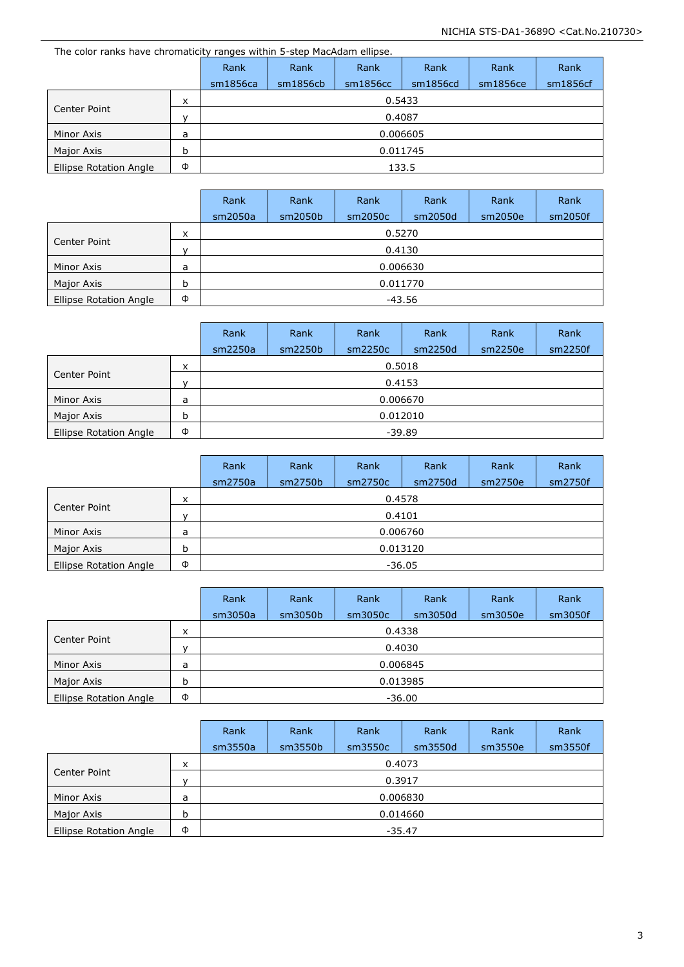| The color ranks have chromaticity ranges within 5-step MacAdam ellipse. |   |          |          |          |          |          |          |  |  |
|-------------------------------------------------------------------------|---|----------|----------|----------|----------|----------|----------|--|--|
|                                                                         |   | Rank     | Rank     | Rank     | Rank     | Rank     | Rank     |  |  |
|                                                                         |   | sm1856ca | sm1856cb | sm1856cc | sm1856cd | sm1856ce | sm1856cf |  |  |
|                                                                         | x | 0.5433   |          |          |          |          |          |  |  |
| Center Point                                                            |   | 0.4087   |          |          |          |          |          |  |  |
| Minor Axis                                                              | a |          | 0.006605 |          |          |          |          |  |  |
| Major Axis                                                              | b |          | 0.011745 |          |          |          |          |  |  |
| Ellipse Rotation Angle                                                  | Φ |          |          |          | 133.5    |          |          |  |  |

|                        |              | Rank    | Rank     | Rank    | Rank    | Rank    | Rank    |  |  |  |
|------------------------|--------------|---------|----------|---------|---------|---------|---------|--|--|--|
|                        |              | sm2050a | sm2050b  | sm2050c | sm2050d | sm2050e | sm2050f |  |  |  |
|                        | x            |         | 0.5270   |         |         |         |         |  |  |  |
| Center Point           | $\mathbf{v}$ | 0.4130  |          |         |         |         |         |  |  |  |
| Minor Axis             | a            |         | 0.006630 |         |         |         |         |  |  |  |
| Major Axis             | b            |         | 0.011770 |         |         |         |         |  |  |  |
| Ellipse Rotation Angle | Φ            | -43.56  |          |         |         |         |         |  |  |  |

|                        |              | Rank    | Rank     | Rank     | Rank    | Rank    | Rank    |  |  |
|------------------------|--------------|---------|----------|----------|---------|---------|---------|--|--|
|                        |              | sm2250a | sm2250b  | sm2250c  | sm2250d | sm2250e | sm2250f |  |  |
|                        | x            | 0.5018  |          |          |         |         |         |  |  |
| Center Point           | $\mathbf{v}$ | 0.4153  |          |          |         |         |         |  |  |
| Minor Axis             | a            |         |          | 0.006670 |         |         |         |  |  |
| Major Axis             | b            |         | 0.012010 |          |         |         |         |  |  |
| Ellipse Rotation Angle | Φ            |         |          | $-39.89$ |         |         |         |  |  |

|                        |              | Rank     | Rank     | Rank    | Rank     | Rank    | Rank    |  |  |  |
|------------------------|--------------|----------|----------|---------|----------|---------|---------|--|--|--|
|                        |              | sm2750a  | sm2750b  | sm2750c | sm2750d  | sm2750e | sm2750f |  |  |  |
|                        | x            |          | 0.4578   |         |          |         |         |  |  |  |
| Center Point           | $\mathsf{v}$ | 0.4101   |          |         |          |         |         |  |  |  |
| Minor Axis             | а            |          |          |         | 0.006760 |         |         |  |  |  |
| Major Axis             | b            |          | 0.013120 |         |          |         |         |  |  |  |
| Ellipse Rotation Angle | Φ            | $-36.05$ |          |         |          |         |         |  |  |  |

|                        |   | Rank     | Rank     | Rank    | Rank    | Rank    | Rank    |  |  |
|------------------------|---|----------|----------|---------|---------|---------|---------|--|--|
|                        |   | sm3050a  | sm3050b  | sm3050c | sm3050d | sm3050e | sm3050f |  |  |
|                        | x |          |          | 0.4338  |         |         |         |  |  |
| Center Point           | v | 0.4030   |          |         |         |         |         |  |  |
| Minor Axis             | a |          | 0.006845 |         |         |         |         |  |  |
| Major Axis             | b |          | 0.013985 |         |         |         |         |  |  |
| Ellipse Rotation Angle | Φ | $-36.00$ |          |         |         |         |         |  |  |

|                        |              | Rank    | Rank     | Rank     | Rank    | Rank    | Rank    |  |  |  |
|------------------------|--------------|---------|----------|----------|---------|---------|---------|--|--|--|
|                        |              | sm3550a | sm3550b  | sm3550c  | sm3550d | sm3550e | sm3550f |  |  |  |
|                        | x            |         | 0.4073   |          |         |         |         |  |  |  |
| Center Point           | $\mathsf{v}$ | 0.3917  |          |          |         |         |         |  |  |  |
| Minor Axis             | a            |         |          | 0.006830 |         |         |         |  |  |  |
| Major Axis             | b            |         | 0.014660 |          |         |         |         |  |  |  |
| Ellipse Rotation Angle | Φ            |         |          | $-35.47$ |         |         |         |  |  |  |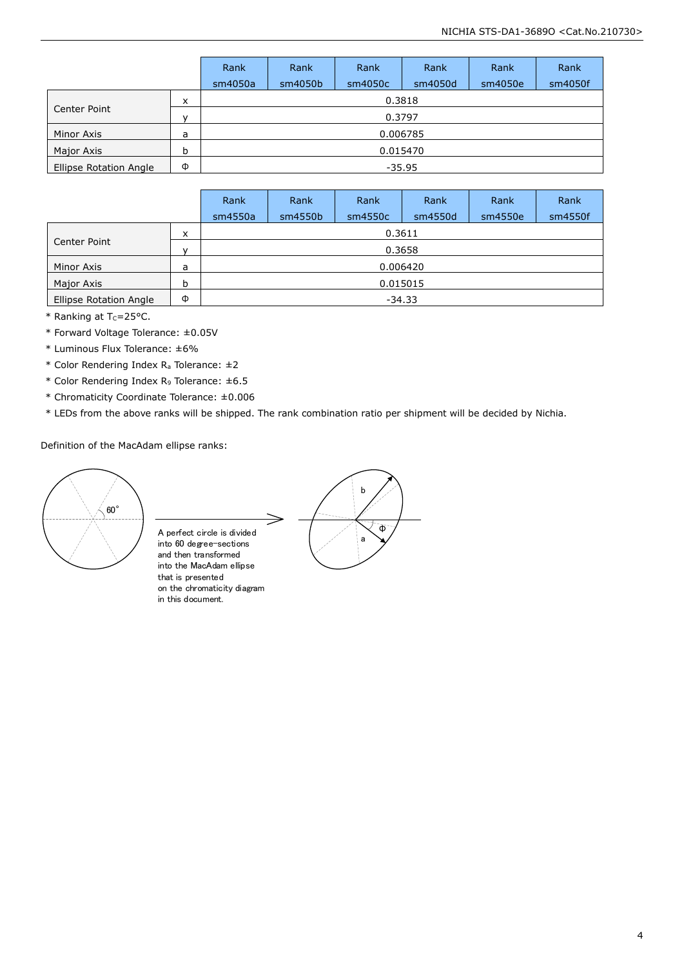|                               |              | Rank     | Rank    | Rank     | Rank    | Rank    | Rank    |  |  |
|-------------------------------|--------------|----------|---------|----------|---------|---------|---------|--|--|
|                               |              | sm4050a  | sm4050b | sm4050c  | sm4050d | sm4050e | sm4050f |  |  |
|                               | х            |          |         | 0.3818   |         |         |         |  |  |
| Center Point                  | $\mathbf{v}$ | 0.3797   |         |          |         |         |         |  |  |
| Minor Axis                    | a            |          |         | 0.006785 |         |         |         |  |  |
| Major Axis                    | b            | 0.015470 |         |          |         |         |         |  |  |
| <b>Ellipse Rotation Angle</b> | Φ            | $-35.95$ |         |          |         |         |         |  |  |

|                        |   | Rank     | Rank    | Rank    | Rank    | Rank    | Rank    |  |  |
|------------------------|---|----------|---------|---------|---------|---------|---------|--|--|
|                        |   | sm4550a  | sm4550b | sm4550c | sm4550d | sm4550e | sm4550f |  |  |
|                        | x |          | 0.3611  |         |         |         |         |  |  |
| Center Point           | v |          | 0.3658  |         |         |         |         |  |  |
| Minor Axis             | a | 0.006420 |         |         |         |         |         |  |  |
| Major Axis             | b | 0.015015 |         |         |         |         |         |  |  |
| Ellipse Rotation Angle | Φ | $-34.33$ |         |         |         |         |         |  |  |

 $*$  Ranking at T<sub>c</sub>=25°C.

\* Forward Voltage Tolerance: ±0.05V

\* Luminous Flux Tolerance: ±6%

\* Color Rendering Index R<sup>a</sup> Tolerance: ±2

\* Color Rendering Index R<sup>9</sup> Tolerance: ±6.5

\* Chromaticity Coordinate Tolerance: ±0.006

\* LEDs from the above ranks will be shipped. The rank combination ratio per shipment will be decided by Nichia.

Definition of the MacAdam ellipse ranks:



A perfect circle is divided into 60 degree-sections and then transformed into the MacAdam ellipse that is presented on the chromaticity diagram in this document.

b  $\hat{\Phi}$ a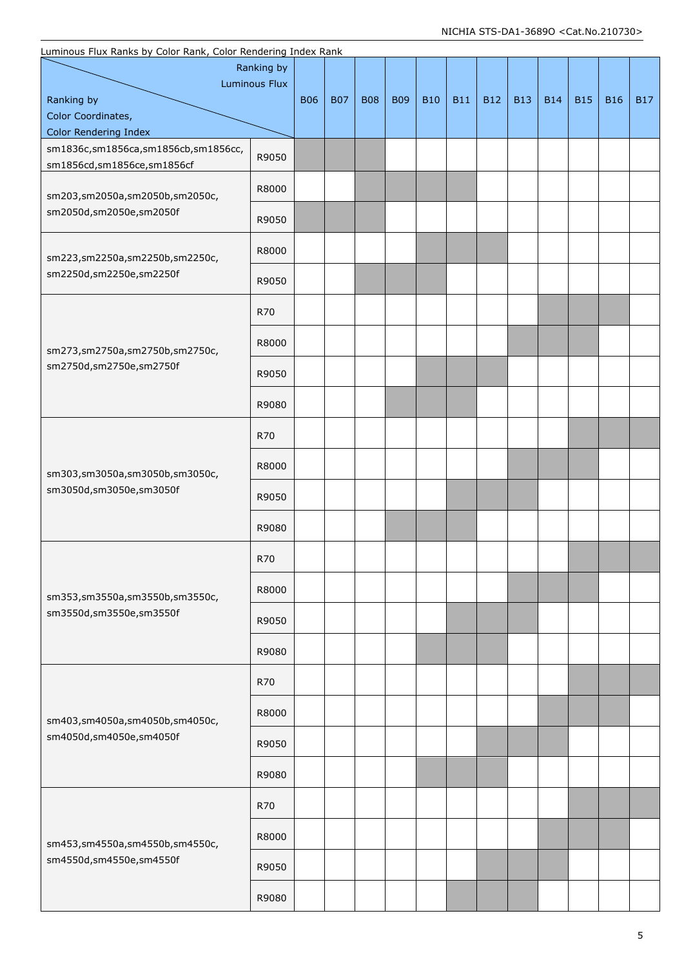| Luminous Flux Ranks by Color Rank, Color Rendering Index Rank |       |            |            |            |            |            |            |            |            |            |            |            |            |
|---------------------------------------------------------------|-------|------------|------------|------------|------------|------------|------------|------------|------------|------------|------------|------------|------------|
| Ranking by                                                    |       |            |            |            |            |            |            |            |            |            |            |            |            |
| <b>Luminous Flux</b>                                          |       |            |            |            |            |            |            |            |            |            |            |            |            |
| Ranking by<br>Color Coordinates,                              |       | <b>B06</b> | <b>B07</b> | <b>B08</b> | <b>B09</b> | <b>B10</b> | <b>B11</b> | <b>B12</b> | <b>B13</b> | <b>B14</b> | <b>B15</b> | <b>B16</b> | <b>B17</b> |
| <b>Color Rendering Index</b>                                  |       |            |            |            |            |            |            |            |            |            |            |            |            |
| sm1836c,sm1856ca,sm1856cb,sm1856cc,                           | R9050 |            |            |            |            |            |            |            |            |            |            |            |            |
| sm1856cd,sm1856ce,sm1856cf                                    |       |            |            |            |            |            |            |            |            |            |            |            |            |
| sm203,sm2050a,sm2050b,sm2050c,                                | R8000 |            |            |            |            |            |            |            |            |            |            |            |            |
| sm2050d,sm2050e,sm2050f                                       | R9050 |            |            |            |            |            |            |            |            |            |            |            |            |
| sm223,sm2250a,sm2250b,sm2250c,                                | R8000 |            |            |            |            |            |            |            |            |            |            |            |            |
| sm2250d,sm2250e,sm2250f                                       | R9050 |            |            |            |            |            |            |            |            |            |            |            |            |
|                                                               | R70   |            |            |            |            |            |            |            |            |            |            |            |            |
| sm273,sm2750a,sm2750b,sm2750c,                                | R8000 |            |            |            |            |            |            |            |            |            |            |            |            |
| sm2750d,sm2750e,sm2750f                                       | R9050 |            |            |            |            |            |            |            |            |            |            |            |            |
|                                                               | R9080 |            |            |            |            |            |            |            |            |            |            |            |            |
|                                                               | R70   |            |            |            |            |            |            |            |            |            |            |            |            |
| sm303,sm3050a,sm3050b,sm3050c,                                | R8000 |            |            |            |            |            |            |            |            |            |            |            |            |
| sm3050d,sm3050e,sm3050f                                       | R9050 |            |            |            |            |            |            |            |            |            |            |            |            |
|                                                               | R9080 |            |            |            |            |            |            |            |            |            |            |            |            |
|                                                               | R70   |            |            |            |            |            |            |            |            |            |            |            |            |
| sm353,sm3550a,sm3550b,sm3550c,                                | R8000 |            |            |            |            |            |            |            |            |            |            |            |            |
| sm3550d,sm3550e,sm3550f                                       | R9050 |            |            |            |            |            |            |            |            |            |            |            |            |
|                                                               | R9080 |            |            |            |            |            |            |            |            |            |            |            |            |
|                                                               | R70   |            |            |            |            |            |            |            |            |            |            |            |            |
| sm403,sm4050a,sm4050b,sm4050c,                                | R8000 |            |            |            |            |            |            |            |            |            |            |            |            |
| sm4050d,sm4050e,sm4050f                                       | R9050 |            |            |            |            |            |            |            |            |            |            |            |            |
|                                                               | R9080 |            |            |            |            |            |            |            |            |            |            |            |            |
|                                                               | R70   |            |            |            |            |            |            |            |            |            |            |            |            |
| sm453,sm4550a,sm4550b,sm4550c,                                | R8000 |            |            |            |            |            |            |            |            |            |            |            |            |
| sm4550d,sm4550e,sm4550f                                       | R9050 |            |            |            |            |            |            |            |            |            |            |            |            |
|                                                               | R9080 |            |            |            |            |            |            |            |            |            |            |            |            |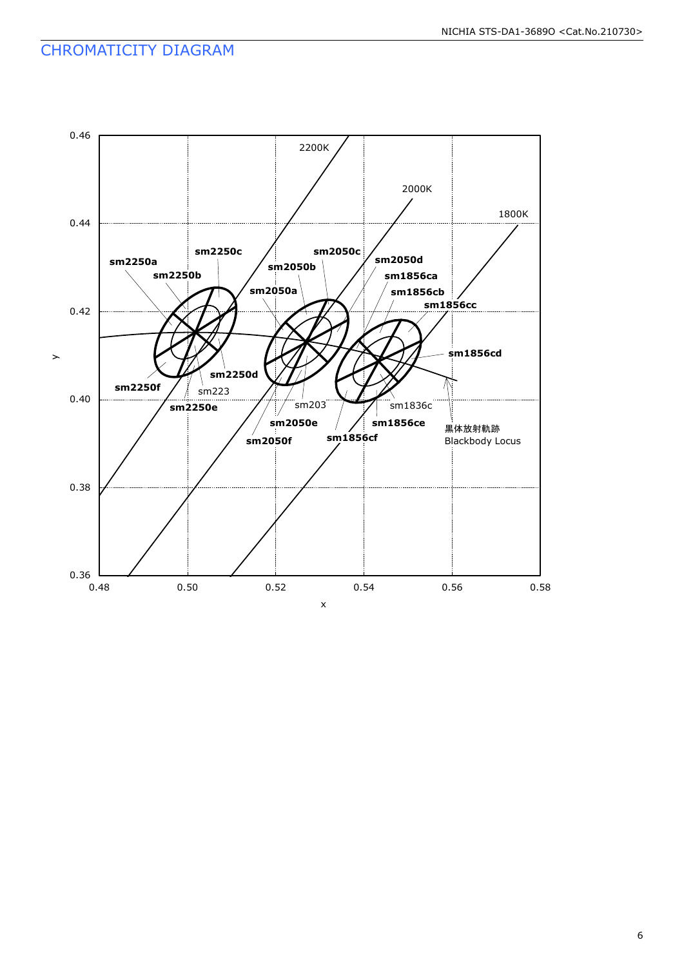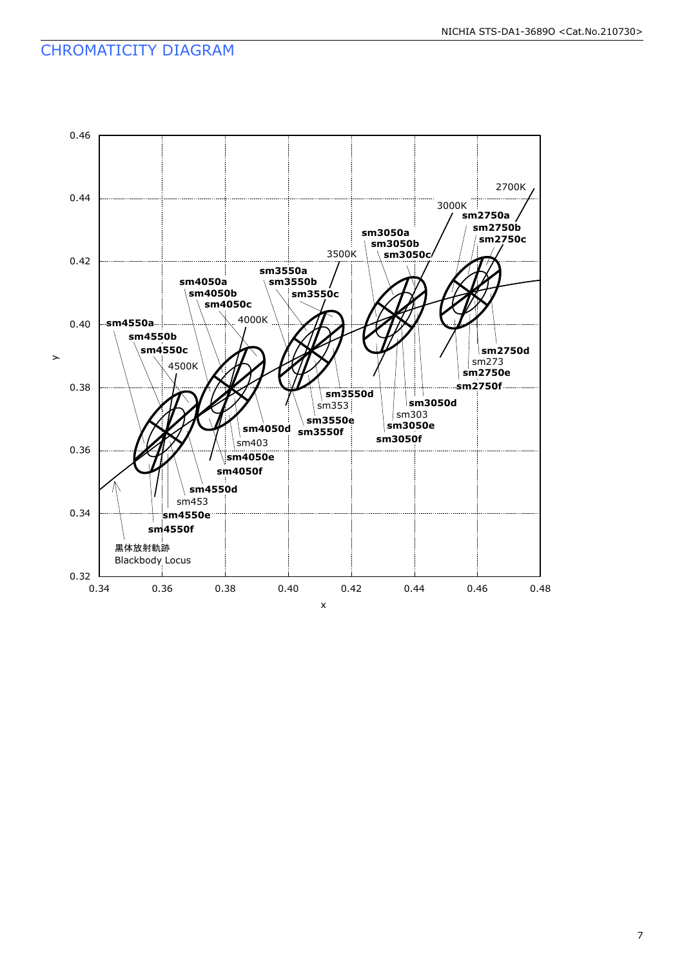### CHROMATICITY DIAGRAM

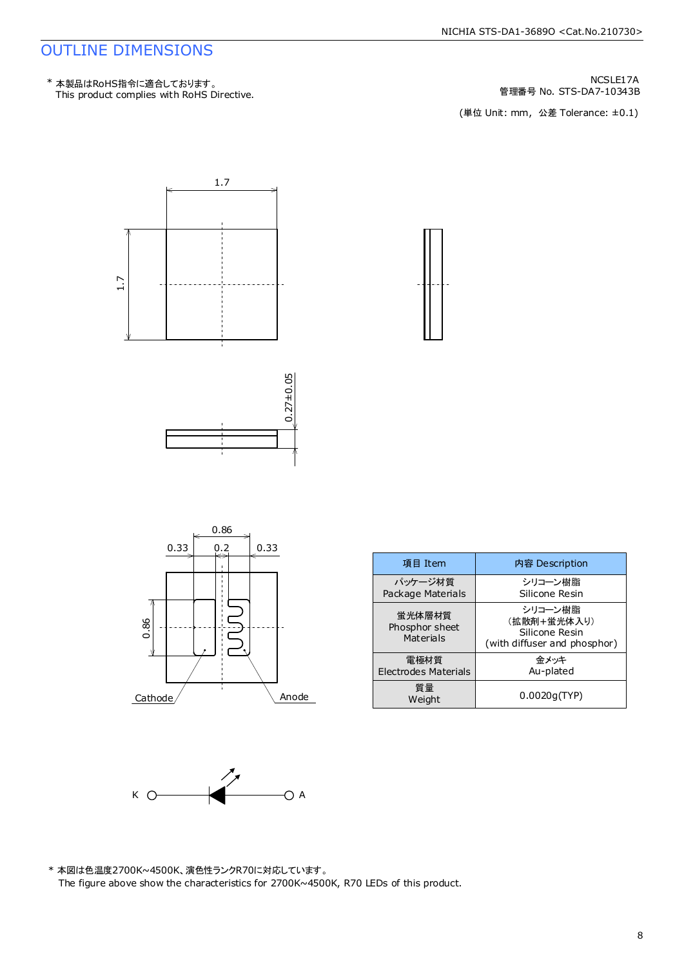#### NICHIA STS-DA1-3689O <Cat.No.210730>

#### OUTLINE DIMENSIONS

This product complies with RoHS Directive. \* 本製品はRoHS指令に適合しております。

管理番号 No. STS-DA7-10343B NCSLE17A

(単位 Unit: mm, 公差 Tolerance: ±0.1)



| 項目 Item                               | 内容 Description                                                           |
|---------------------------------------|--------------------------------------------------------------------------|
| パッケージ材質<br>Package Materials          | シリコーン樹脂<br>Silicone Resin                                                |
| 蛍光体層材質<br>Phosphor sheet<br>Materials | シリコーン樹脂<br>(拡散剤+蛍光体入り)<br>Silicone Resin<br>(with diffuser and phosphor) |
| 電極材質<br><b>Electrodes Materials</b>   | 余メッキ<br>Au-plated                                                        |
| 質量<br>Weight                          | 0.0020q(TYP)                                                             |



 $Cathode/$  Anode

\* 本図は色温度2700K~4500K、演色性ランクR70に対応しています。 The figure above show the characteristics for 2700K~4500K, R70 LEDs of this product.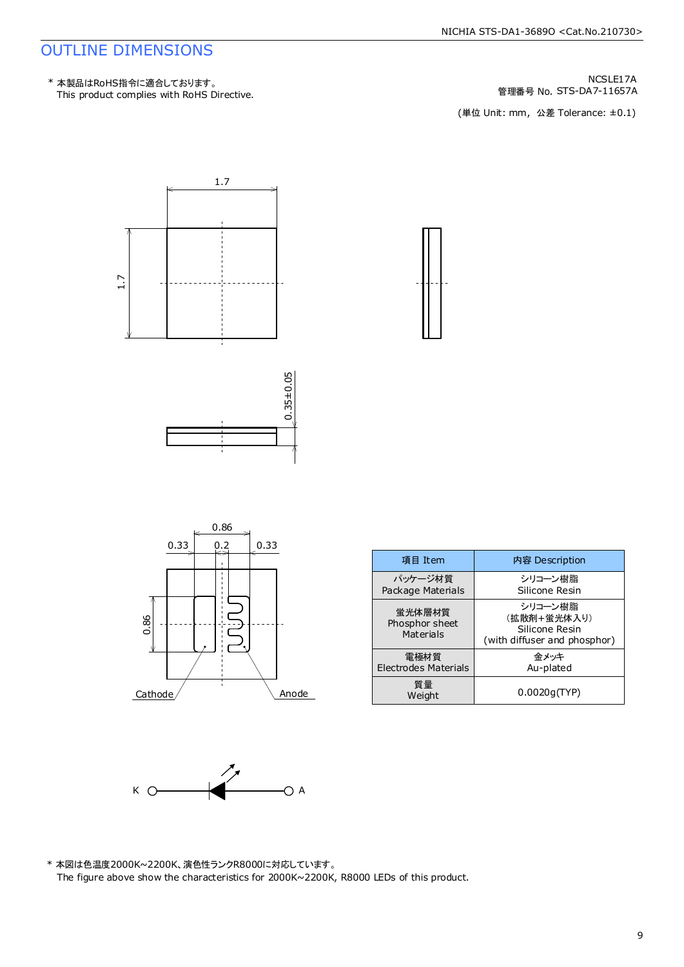#### OUTLINE DIMENSIONS

This product complies with RoHS Directive. \* 本製品はRoHS指令に適合しております。

管理番号 No. STS-DA7-11657A NCSLE17A

(単位 Unit: mm, 公差 Tolerance: ±0.1)





| 項目 Item                                      | 内容 Description                                                           |
|----------------------------------------------|--------------------------------------------------------------------------|
| パッケージ材質<br>Package Materials                 | シリコーン樹脂<br>Silicone Resin                                                |
| <b>蛍光体層材質</b><br>Phosphor sheet<br>Materials | シリコーン樹脂<br>(拡散剤+蛍光体入り)<br>Silicone Resin<br>(with diffuser and phosphor) |
| 電極材質<br>Electrodes Materials                 | 余メッキ<br>Au-plated                                                        |
| 質量<br>Weight                                 | 0.0020q(TYP)                                                             |



\* 本図は色温度2000K~2200K、演色性ランクR8000に対応しています。 The figure above show the characteristics for 2000K~2200K, R8000 LEDs of this product.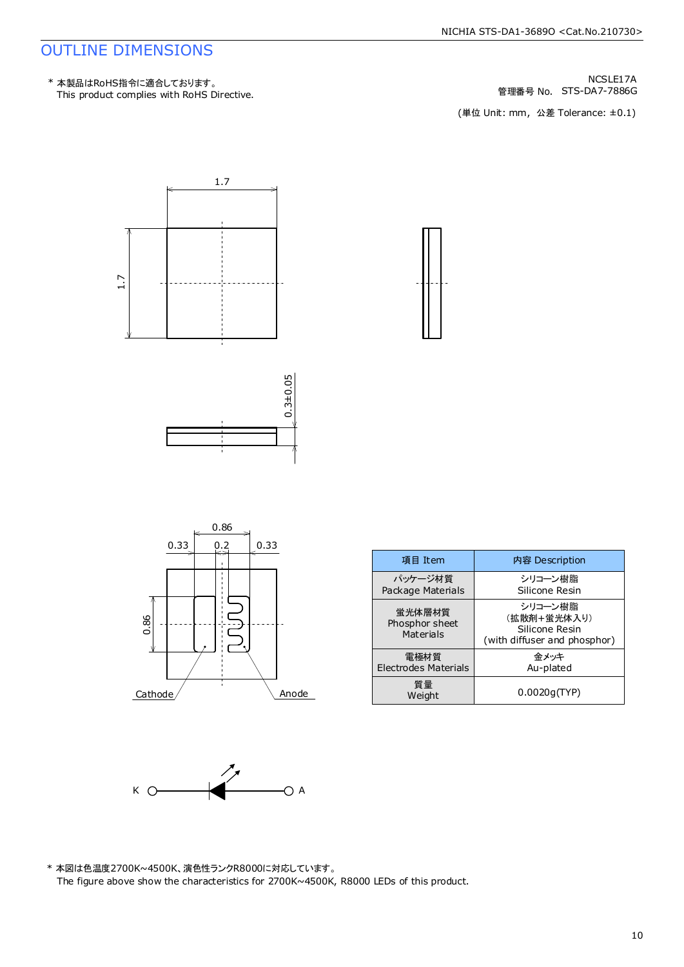#### OUTLINE DIMENSIONS

This product complies with RoHS Directive. \* 本製品はRoHS指令に適合しております。

管理番号 No. STS-DA7-7886G NCSLE17A

(単位 Unit: mm, 公差 Tolerance: ±0.1)



|         | 0.33 | 0.2 | 0.33 |       |
|---------|------|-----|------|-------|
|         |      |     |      |       |
| 0.86    |      |     |      |       |
| Cathode |      |     |      | Anode |

| 項目 Item                               | 内容 Description                                                           |
|---------------------------------------|--------------------------------------------------------------------------|
| パッケージ材質<br>Package Materials          | シリコーン樹脂<br>Silicone Resin                                                |
| 蛍光体層材質<br>Phosphor sheet<br>Materials | シリコーン樹脂<br>(拡散剤+蛍光体入り)<br>Silicone Resin<br>(with diffuser and phosphor) |
| 雷極材質<br><b>Electrodes Materials</b>   | 余メッキ<br>Au-plated                                                        |
| 質量<br>Weight                          | 0.0020q(TYP)                                                             |



\* 本図は色温度2700K~4500K、演色性ランクR8000に対応しています。 The figure above show the characteristics for 2700K~4500K, R8000 LEDs of this product.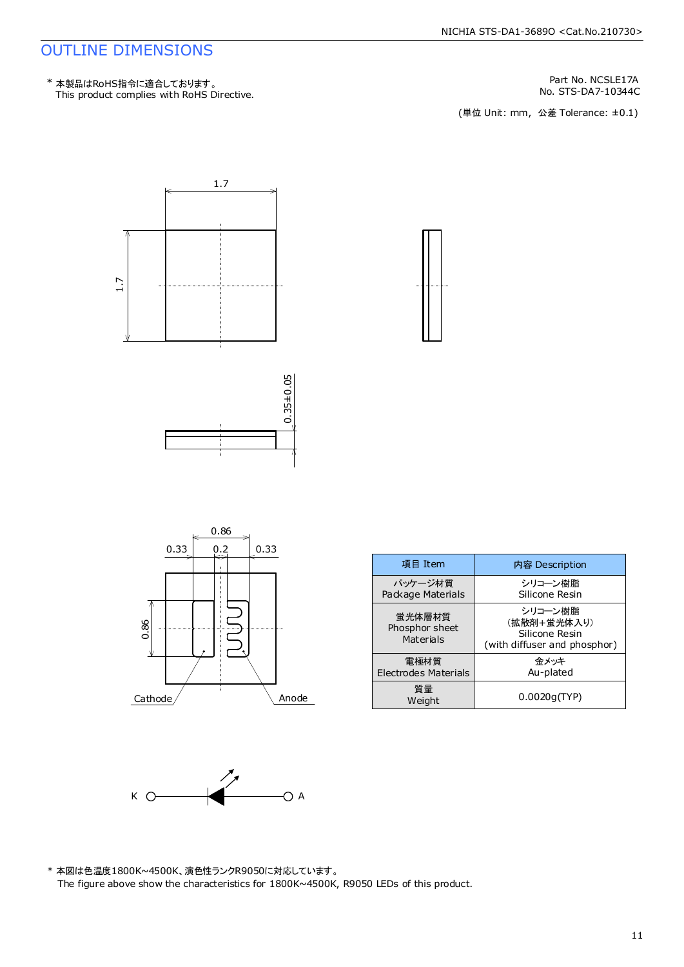#### NICHIA STS-DA1-3689O <Cat.No.210730>

#### OUTLINE DIMENSIONS

This product complies with RoHS Directive. \* 本製品はRoHS指令に適合しております。

Part No. NCSLE17A<br>No. STS-DA7-10344C

No. STS-DA7-10344C<br>(単位 Unit: mm,公差 Tolerance: ±0.1)



| 項目 Item                               | 内容 Description                                                           |
|---------------------------------------|--------------------------------------------------------------------------|
| パッケージ材質<br>Package Materials          | シリコーン樹脂<br>Silicone Resin                                                |
| 蛍光体層材質<br>Phosphor sheet<br>Materials | シリコーン樹脂<br>(拡散剤+蛍光体入り)<br>Silicone Resin<br>(with diffuser and phosphor) |
| 電極材質<br>Electrodes Materials          | 余メッキ<br>Au-plated                                                        |
| 質量<br>Weight                          | 0.0020q(TYP)                                                             |



\* 本図は色温度1800K~4500K、演色性ランクR9050に対応しています。 The figure above show the characteristics for 1800K~4500K, R9050 LEDs of this product.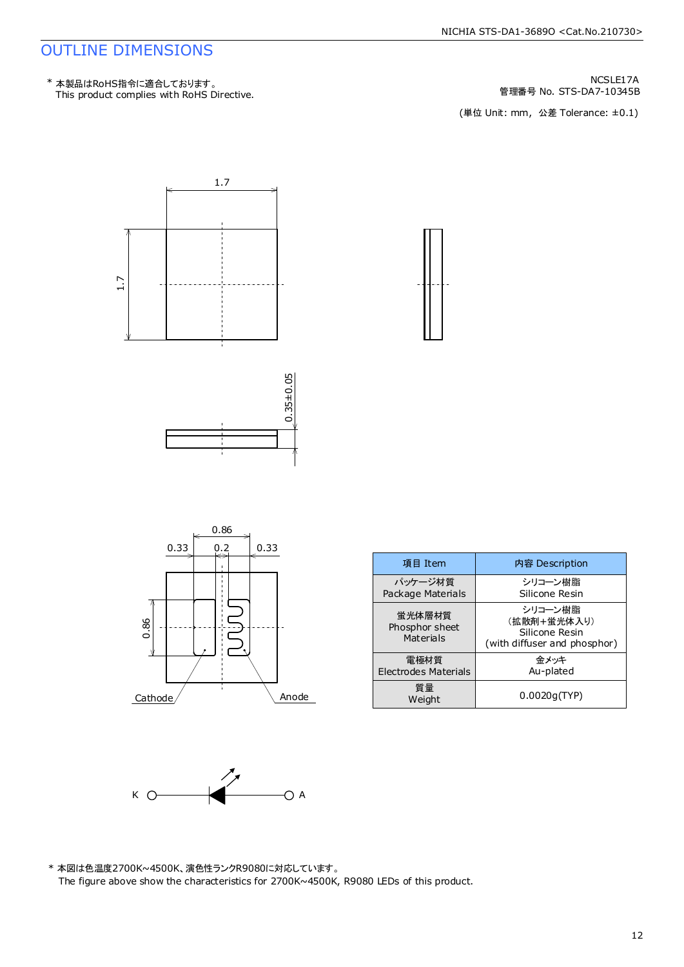#### NICHIA STS-DA1-3689O <Cat.No.210730>

#### OUTLINE DIMENSIONS

This product complies with RoHS Directive. \* 本製品はRoHS指令に適合しております。

管理番号 No. STS-DA7-10345B NCSLE17A

(単位 Unit: mm, 公差 Tolerance: ±0.1)



| 項目 Item                               | 内容 Description                                                           |
|---------------------------------------|--------------------------------------------------------------------------|
| パッケージ材質<br>Package Materials          | シリコーン樹脂<br>Silicone Resin                                                |
| 蛍光体層材質<br>Phosphor sheet<br>Materials | シリコーン樹脂<br>(拡散剤+蛍光体入り)<br>Silicone Resin<br>(with diffuser and phosphor) |
| 雷極材質<br>Electrodes Materials          | 余メッキ<br>Au-plated                                                        |
| 質量<br>Weight                          | 0.0020q(TYP)                                                             |



 $Cathode/$  Anode

\* 本図は色温度2700K~4500K、演色性ランクR9080に対応しています。 The figure above show the characteristics for 2700K~4500K, R9080 LEDs of this product.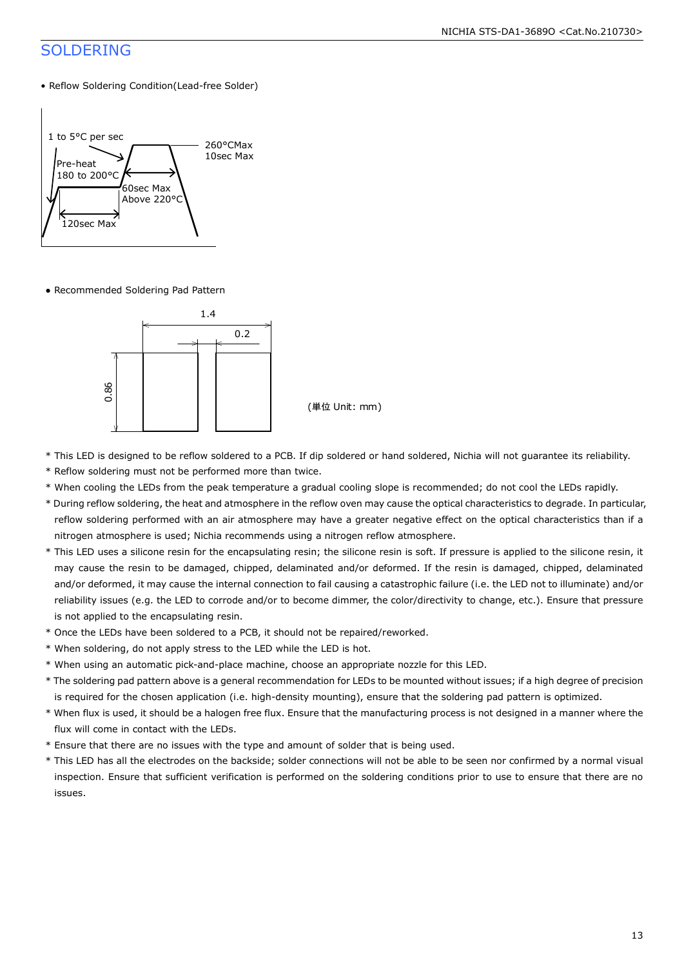#### SOLDERING

• Reflow Soldering Condition(Lead-free Solder)



● Recommended Soldering Pad Pattern



(単位 Unit: mm)

- \* This LED is designed to be reflow soldered to a PCB. If dip soldered or hand soldered, Nichia will not guarantee its reliability.
- \* Reflow soldering must not be performed more than twice.
- \* When cooling the LEDs from the peak temperature a gradual cooling slope is recommended; do not cool the LEDs rapidly.
- \* During reflow soldering, the heat and atmosphere in the reflow oven may cause the optical characteristics to degrade. In particular, reflow soldering performed with an air atmosphere may have a greater negative effect on the optical characteristics than if a nitrogen atmosphere is used; Nichia recommends using a nitrogen reflow atmosphere.
- \* This LED uses a silicone resin for the encapsulating resin; the silicone resin is soft. If pressure is applied to the silicone resin, it may cause the resin to be damaged, chipped, delaminated and/or deformed. If the resin is damaged, chipped, delaminated and/or deformed, it may cause the internal connection to fail causing a catastrophic failure (i.e. the LED not to illuminate) and/or reliability issues (e.g. the LED to corrode and/or to become dimmer, the color/directivity to change, etc.). Ensure that pressure is not applied to the encapsulating resin.
- \* Once the LEDs have been soldered to a PCB, it should not be repaired/reworked.
- \* When soldering, do not apply stress to the LED while the LED is hot.
- \* When using an automatic pick-and-place machine, choose an appropriate nozzle for this LED.
- \* The soldering pad pattern above is a general recommendation for LEDs to be mounted without issues; if a high degree of precision is required for the chosen application (i.e. high-density mounting), ensure that the soldering pad pattern is optimized.
- \* When flux is used, it should be a halogen free flux. Ensure that the manufacturing process is not designed in a manner where the flux will come in contact with the LEDs.
- \* Ensure that there are no issues with the type and amount of solder that is being used.
- \* This LED has all the electrodes on the backside; solder connections will not be able to be seen nor confirmed by a normal visual inspection. Ensure that sufficient verification is performed on the soldering conditions prior to use to ensure that there are no issues.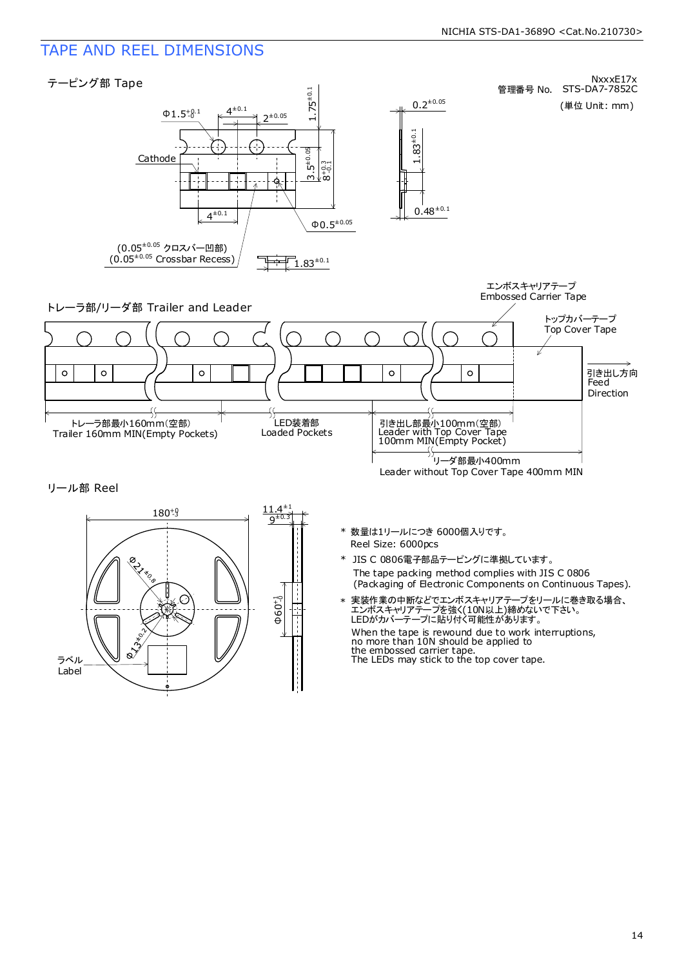### TAPE AND REEL DIMENSIONS

ラベル Label Ø

**ONSIER** 





 $\Phi$ 60+1

- The tape packing method complies with JIS C 0806 (Packaging of Electronic Components on Continuous Tapes). \* JIS C 0806電子部品テーピングに準拠しています。
- When the tape is rewound due to work interruptions, no more than 10N should be applied to the embossed carrier tape. The LEDs may stick to the top cover tape. \* 実装作業の中断などでエンボスキャリアテープをリールに巻き取る場合、 エンボスキャリアテープを強く(10N以上)締めないで下さい。 LEDがカバーテープに貼り付く可能性があります。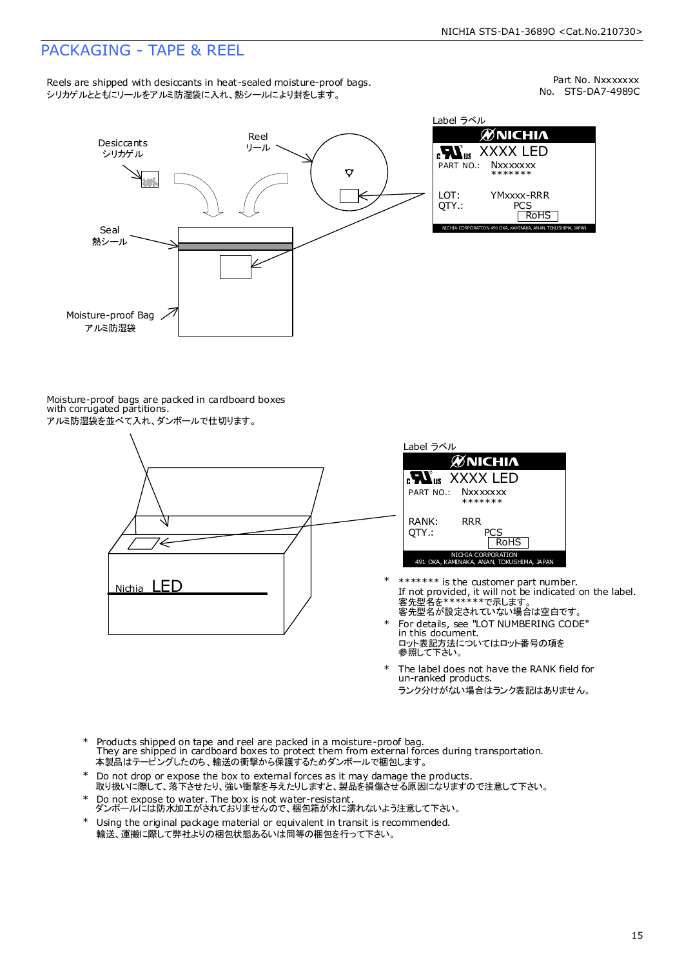### PACKAGING - TAPE & REEL

Reels are shipped with desiccants in heat-sealed moisture-proof bags. シリカゲルとともにリールをアルミ防湿袋に入れ、熱シールにより封をします。

No. STS-DA7-4989C Part No. Nxxxxxxx



Moisture-proof bags are packed in cardboard boxes with corrugated partitions. アルミ防湿袋を並べて入れ、ダンボールで仕切ります。



| Label ラベル                                                       |
|-----------------------------------------------------------------|
| <b>ØNICHIA</b>                                                  |
| <b>Nus XXXX LED</b>                                             |
| PART NO.: NXXXXXXX<br>*******                                   |
| RANK:<br>RR R<br>OTY.:<br>PCS<br><b>RoHS</b>                    |
| NICHIA CORPORATION<br>491 OKA, KAMINAKA, ANAN, TOKUSHIMA, JAPAN |

- 客先型名が設定されていない場合は空白です。 客先型名を\*\*\*\*\*\*\*で示します。 If not provided, it will not be indicated on the label. \*\*\*\*\*\*\* is the customer part number.
- For details, see "LOT NUMBERING CODE" in this document. ロット表記方法についてはロット番号の項を<br>参照して下さい。
- The label does not have the RANK field for un-ranked products. ランク分けがない場合はランク表記はありません。 \*
- Products shipped on tape and reel are packed in a moisture-proof bag. They are shipped in cardboard boxes to protect them from external forces during transportation. 本製品はテーピングしたのち、輸送の衝撃から保護するためダンボールで梱包します。 \*
- Do not drop or expose the box to external forces as it may damage the products. 取り扱いに際して、落下させたり、強い衝撃を与えたりしますと、製品を損傷させる原因になりますので注意して下さい。 \*
- Do not expose to water. The box is not water-resistant. ダンボールには防水加工がされておりませんので、梱包箱が水に濡れないよう注意して下さい。 \*
- \* Using the original package material or equivalent in transit is recommended. 輸送、運搬に際して弊社よりの梱包状態あるいは同等の梱包を行って下さい。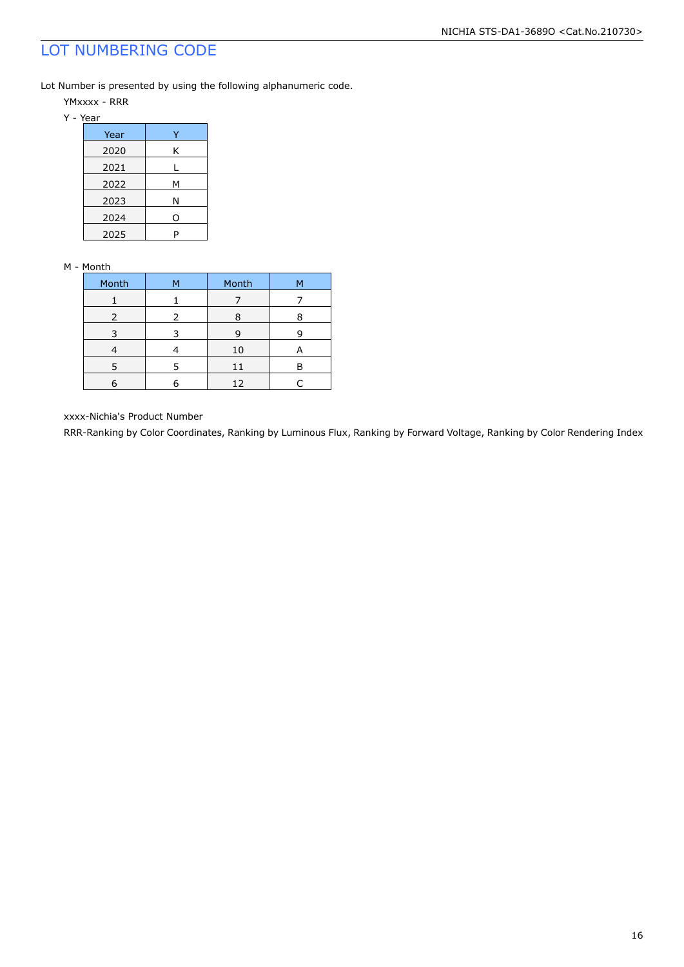### LOT NUMBERING CODE

Lot Number is presented by using the following alphanumeric code.

- YMxxxx RRR
- Y Year

| Year |   |
|------|---|
| 2020 | ĸ |
| 2021 |   |
| 2022 | М |
| 2023 | Ν |
| 2024 | O |
| 2025 |   |

#### M - Month

| Month | м | Month | м |
|-------|---|-------|---|
|       |   |       |   |
| 2     | 2 | 8     |   |
| 3     |   | 9     |   |
|       |   | 10    | A |
| 5     | 5 | 11    | Р |
|       |   | 12    |   |

xxxx-Nichia's Product Number

RRR-Ranking by Color Coordinates, Ranking by Luminous Flux, Ranking by Forward Voltage, Ranking by Color Rendering Index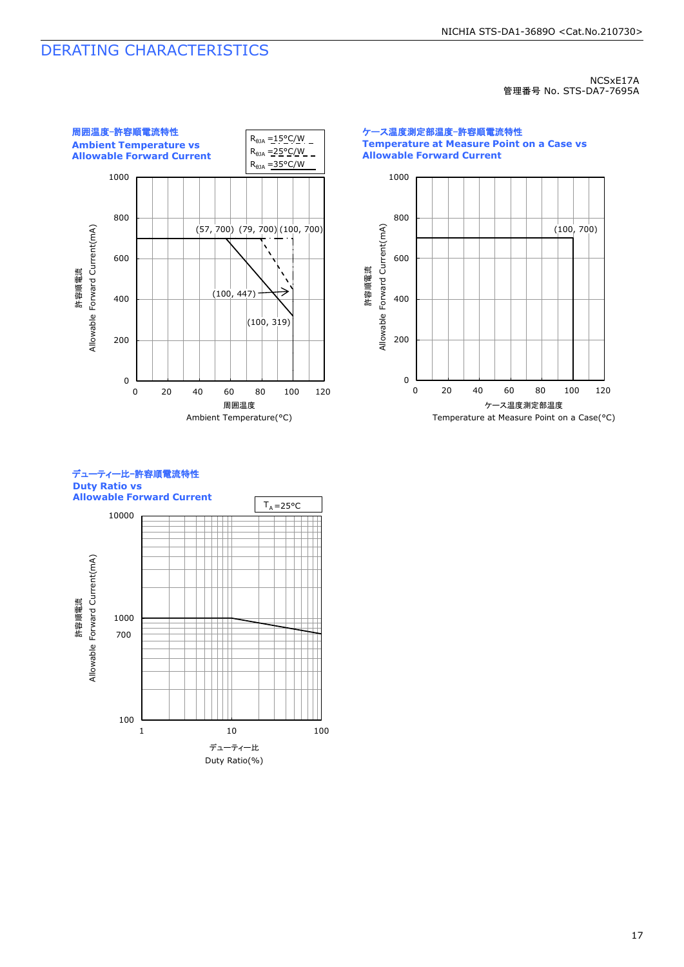### DERATING CHARACTERISTICS

NCSxE17A 管理番号 No. STS-DA7-7695A



ケース温度測定部温度-許容順電流特性 **Temperature at Measure Point on a Case vs Allowable Forward Current**



デューティー比-許容順電流特性 **Duty Ratio vs Allowable Forward Current**

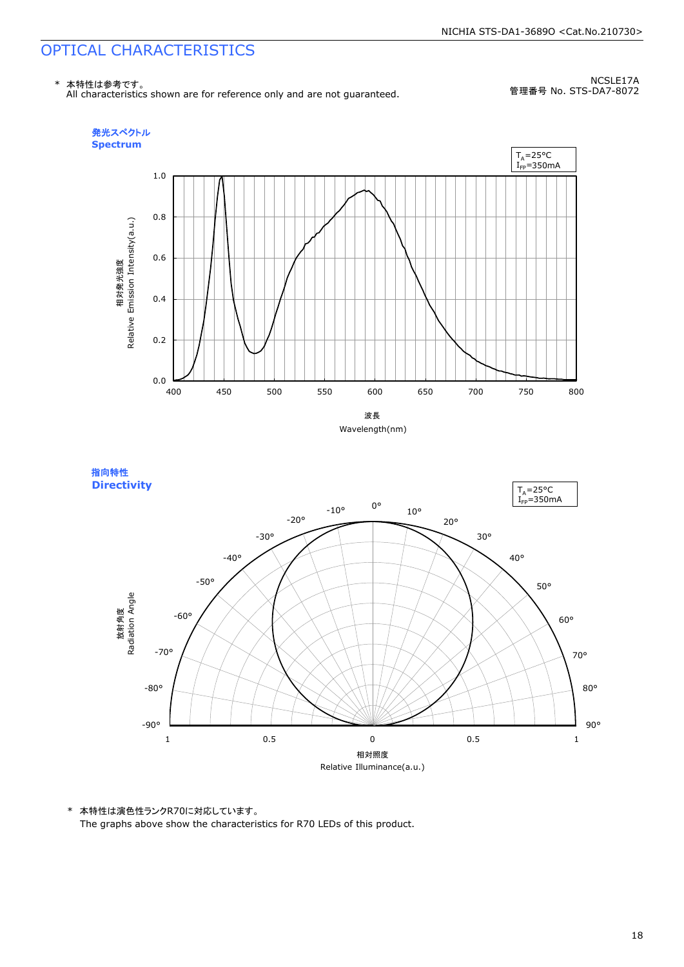#### \* 本特性は参考です。 All characteristics shown are for reference only and are not guaranteed.

NCSLE17A 管理番号 No. STS-DA7-8072







\* 本特性は演色性ランクR70に対応しています。 The graphs above show the characteristics for R70 LEDs of this product.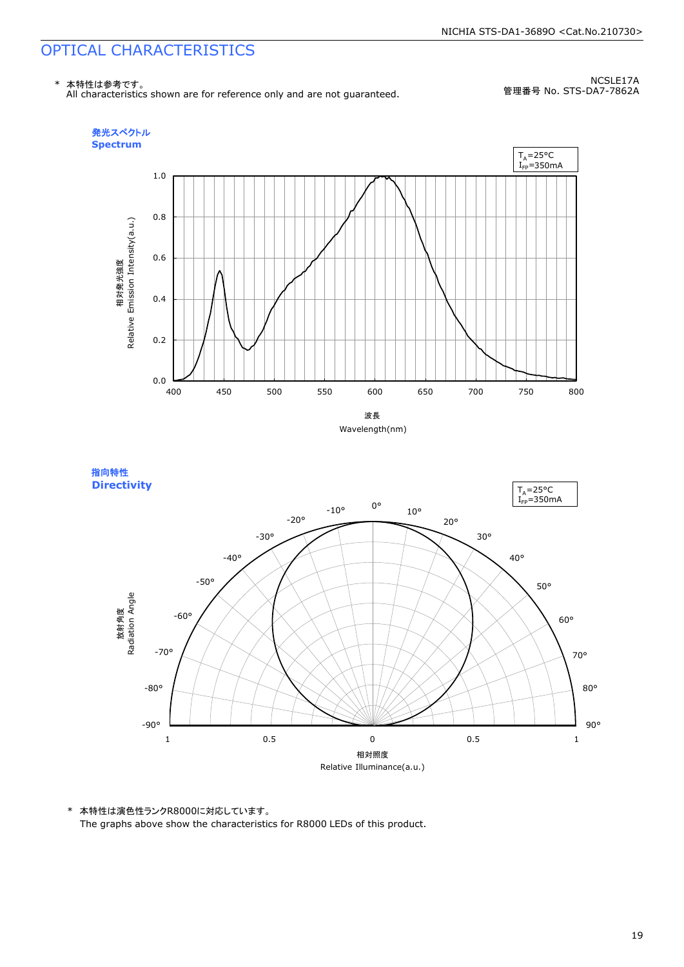\* 本特性は参考です。 All characteristics shown are for reference only and are not guaranteed.

NCSLE17A 管理番号 No. STS-DA7-7862A







\* 本特性は演色性ランクR8000に対応しています。 The graphs above show the characteristics for R8000 LEDs of this product.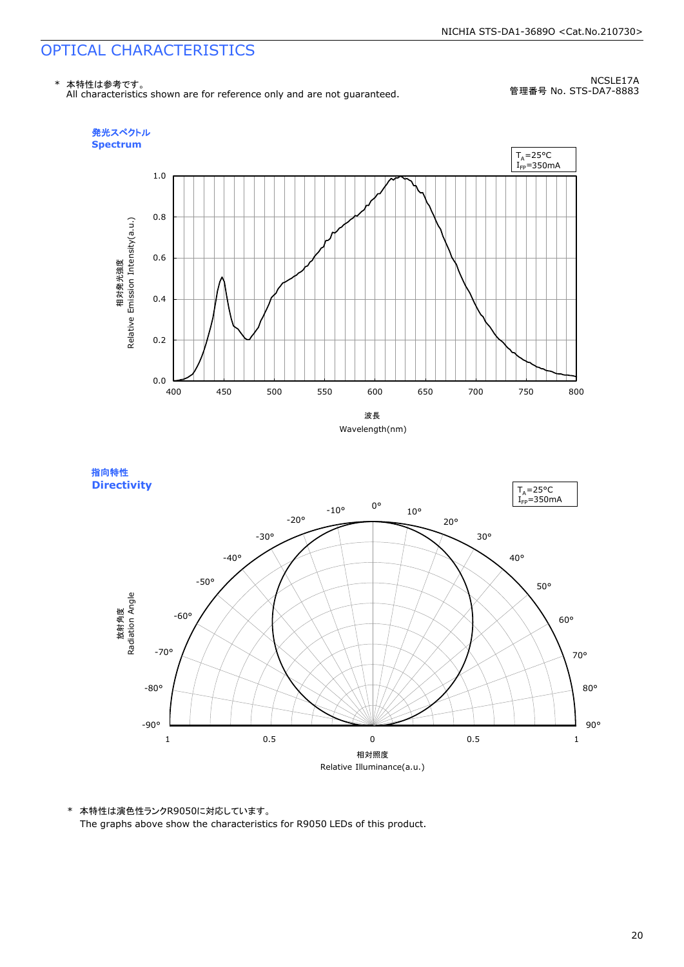\* 本特性は参考です。 All characteristics shown are for reference only and are not guaranteed.

NCSLE17A 管理番号 No. STS-DA7-8883







\* 本特性は演色性ランクR9050に対応しています。 The graphs above show the characteristics for R9050 LEDs of this product.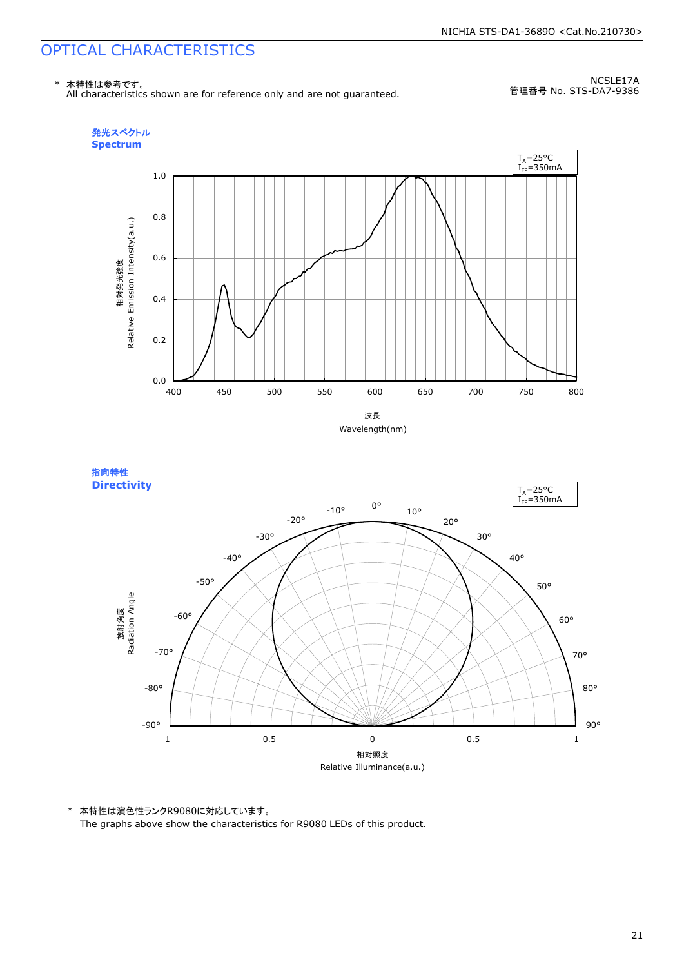\* 本特性は参考です。 All characteristics shown are for reference only and are not guaranteed.

NCSLE17A 管理番号 No. STS-DA7-9386







\* 本特性は演色性ランクR9080に対応しています。 The graphs above show the characteristics for R9080 LEDs of this product.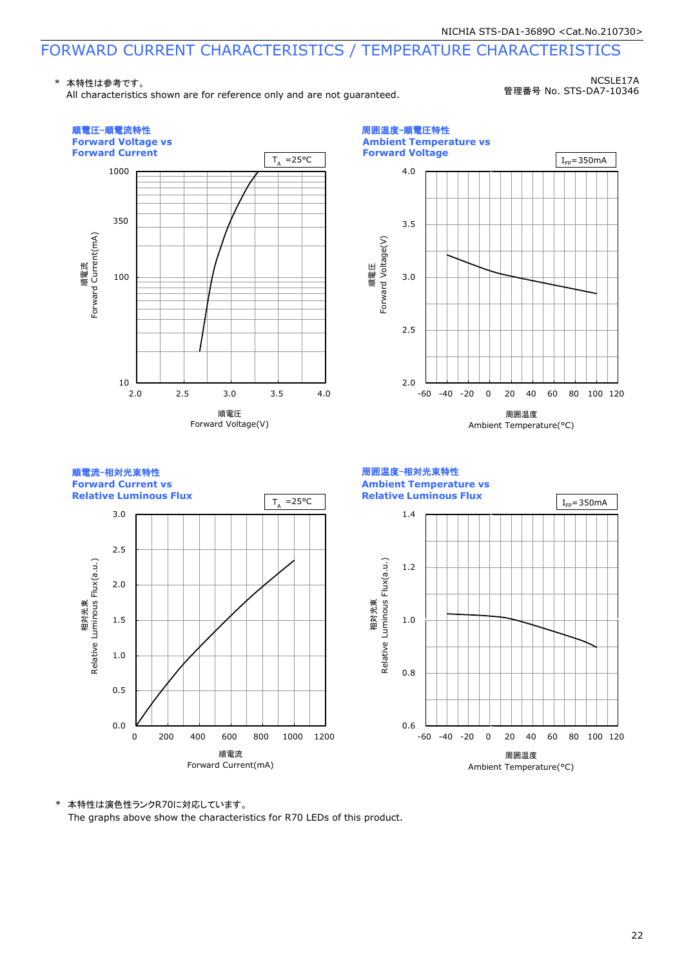\* 本特性は参考です。

All characteristics shown are for reference only and are not guaranteed.

NCSLE17A 管理番号 No. STS-DA7-10346



\* 本特性は演色性ランクR70に対応しています。 The graphs above show the characteristics for R70 LEDs of this product.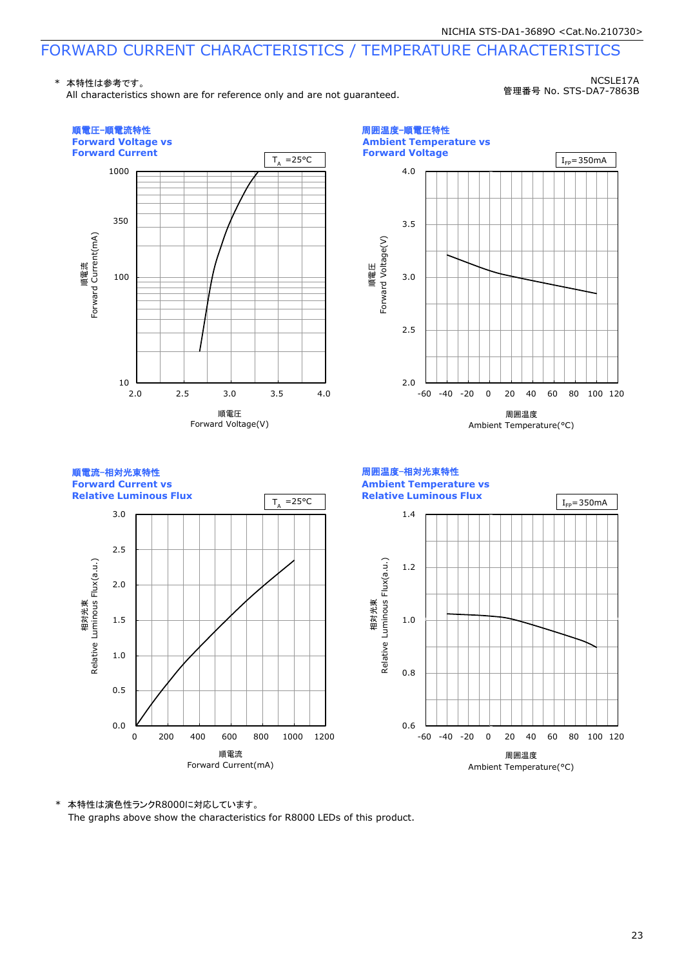\* 本特性は参考です。

All characteristics shown are for reference only and are not guaranteed.

NCSLE17A 管理番号 No. STS-DA7-7863B



\* 本特性は演色性ランクR8000に対応しています。 The graphs above show the characteristics for R8000 LEDs of this product.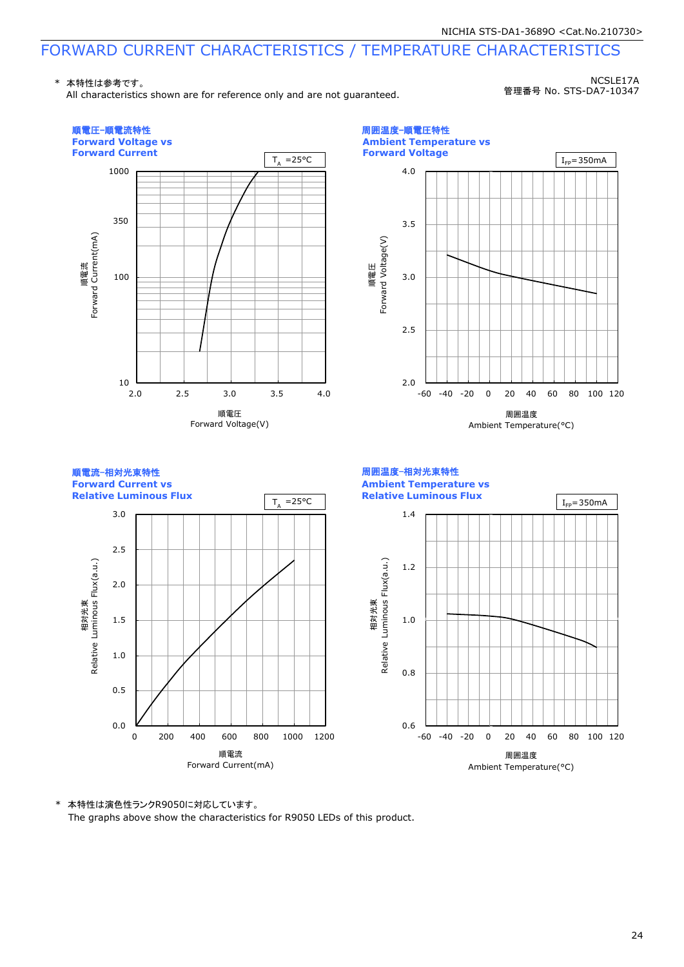\* 本特性は参考です。

All characteristics shown are for reference only and are not guaranteed.

NCSLE17A 管理番号 No. STS-DA7-10347



\* 本特性は演色性ランクR9050に対応しています。 The graphs above show the characteristics for R9050 LEDs of this product.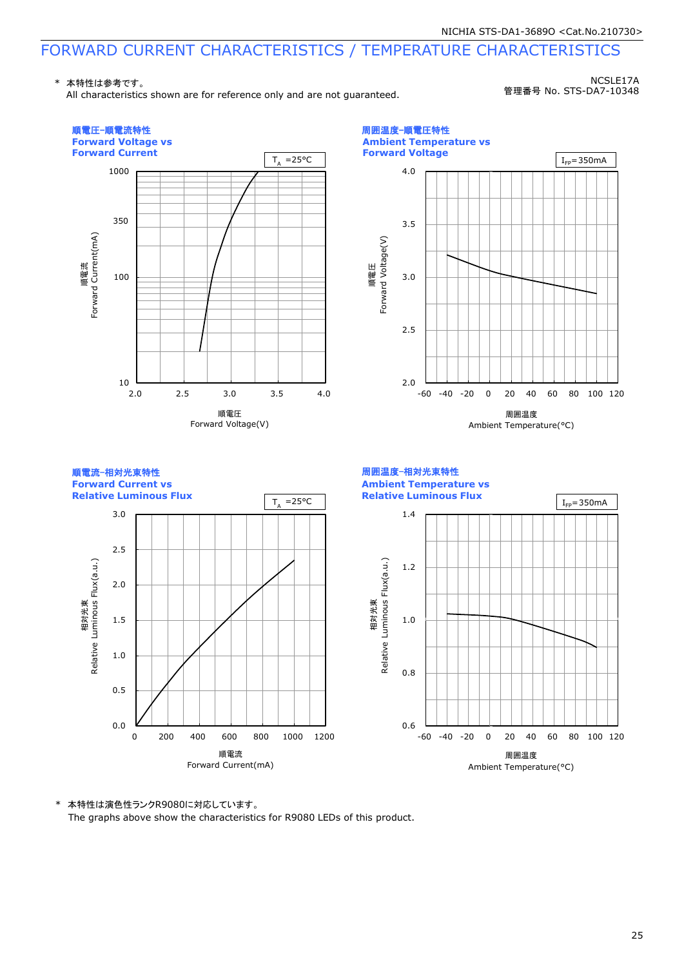\* 本特性は参考です。

All characteristics shown are for reference only and are not guaranteed.

NCSLE17A 管理番号 No. STS-DA7-10348



\* 本特性は演色性ランクR9080に対応しています。 The graphs above show the characteristics for R9080 LEDs of this product.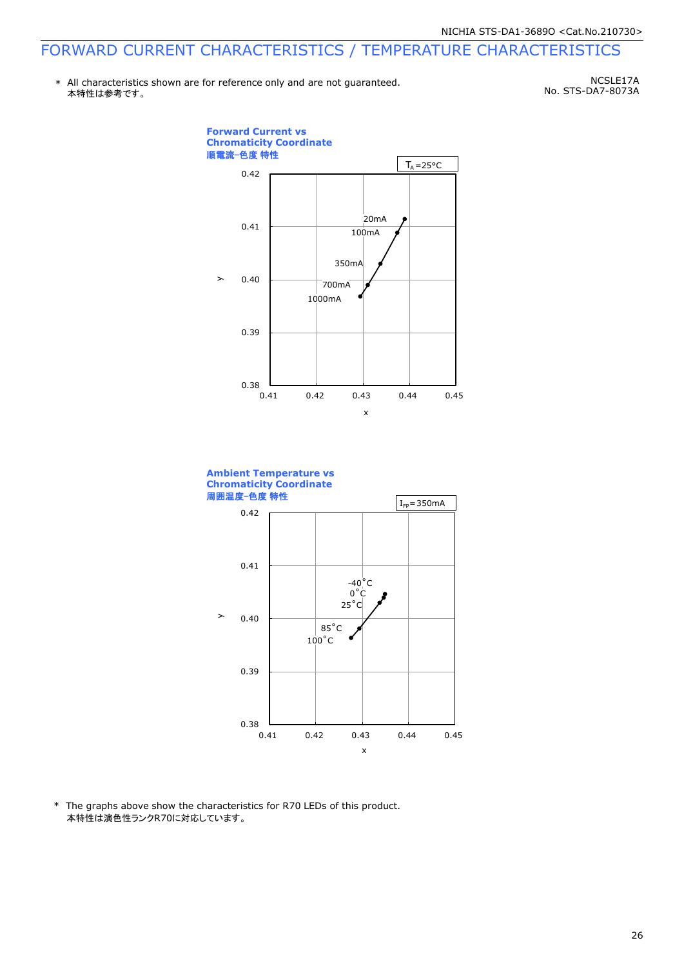\* All characteristics shown are for reference only and are not guaranteed. 本特性は参考です。

NCSLE17A No. STS-DA7-8073A



0.41 0.42 0.43 0.44 0.45

x

\* The graphs above show the characteristics for R70 LEDs of this product. 本特性は演色性ランクR70に対応しています。

 $0.38$   $0.41$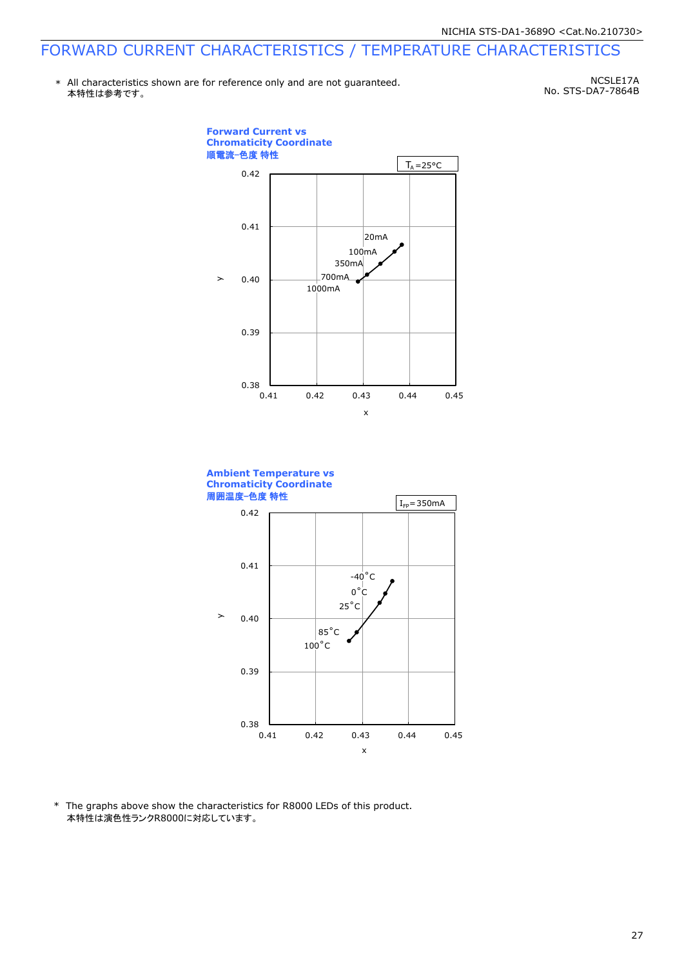\* All characteristics shown are for reference only and are not guaranteed. 本特性は参考です。

NCSLE17A No. STS-DA7-7864B



0.41 0.42 0.43 0.44 0.45

x

\* The graphs above show the characteristics for R8000 LEDs of this product. 本特性は演色性ランクR8000に対応しています。

 $0.38$   $0.41$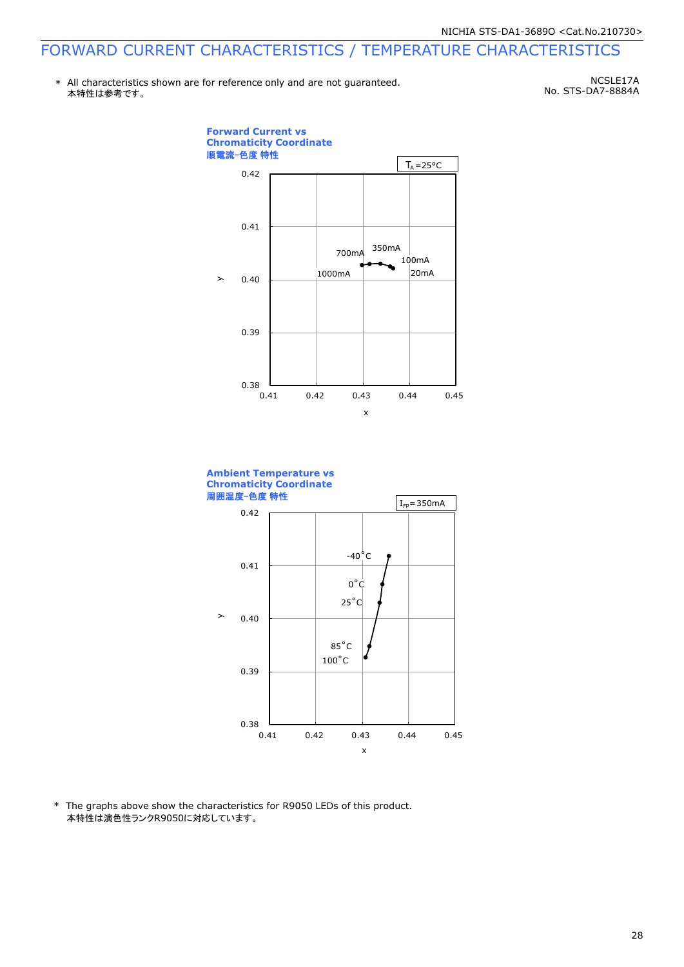\* All characteristics shown are for reference only and are not guaranteed. 本特性は参考です。

NCSLE17A No. STS-DA7-8884A



100˚C 85˚C

0.41 0.42 0.43 0.44 0.45

x

\* The graphs above show the characteristics for R9050 LEDs of this product. 本特性は演色性ランクR9050に対応しています。

 $0.38$   $0.41$ 

0.39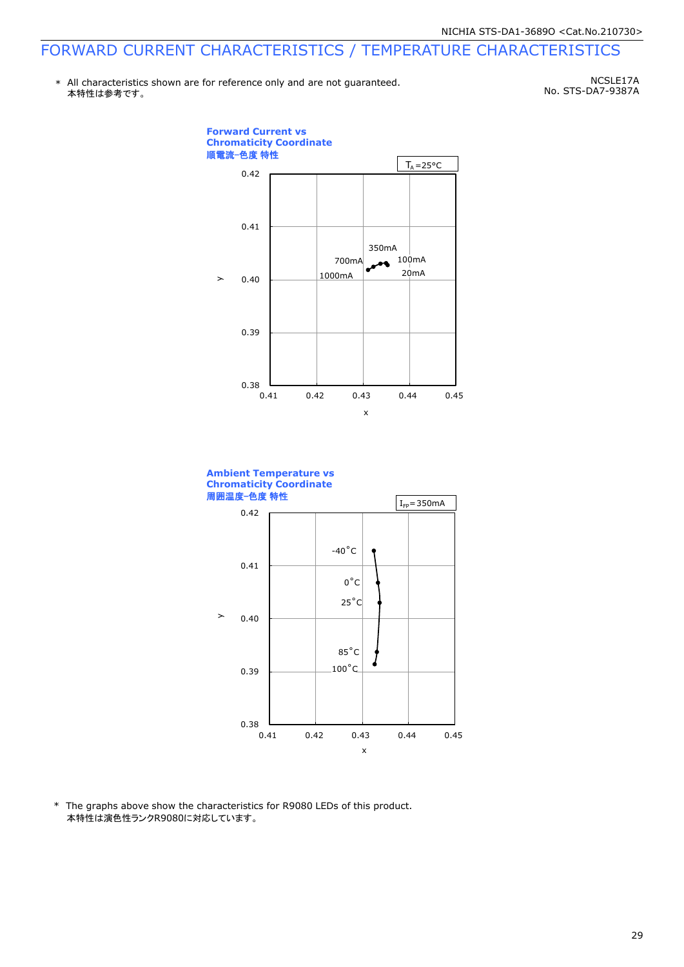\* All characteristics shown are for reference only and are not guaranteed. 本特性は参考です。

NCSLE17A No. STS-DA7-9387A





\* The graphs above show the characteristics for R9080 LEDs of this product. 本特性は演色性ランクR9080に対応しています。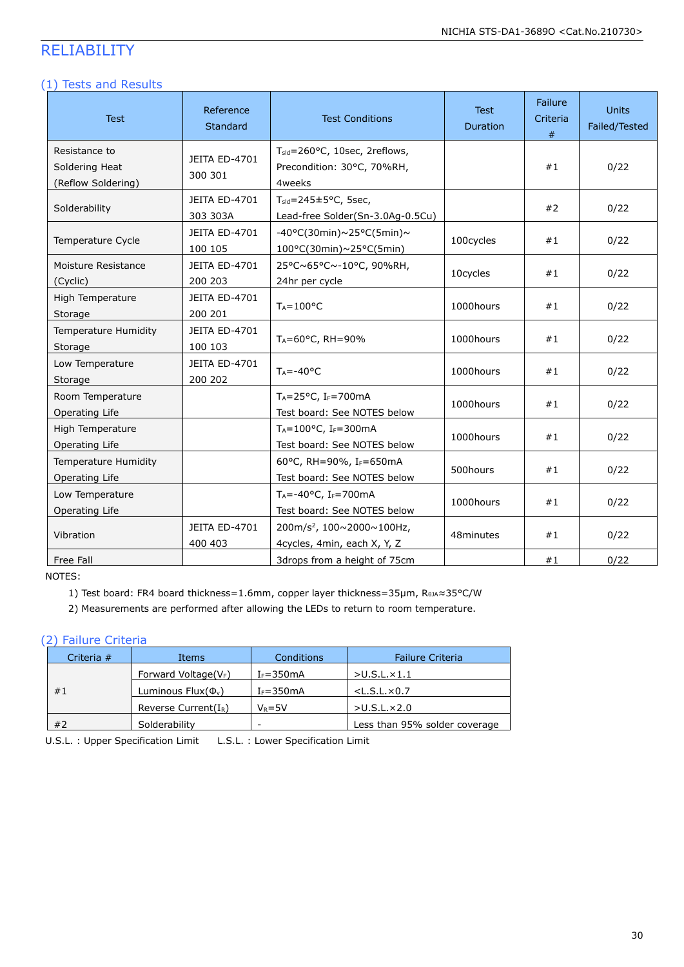### RELIABILITY

#### (1) Tests and Results

| <b>Test</b>                                           | Reference<br><b>Standard</b>    | <b>Test Conditions</b>                                                             | <b>Test</b><br><b>Duration</b> | Failure<br>Criteria<br># | Units<br>Failed/Tested |
|-------------------------------------------------------|---------------------------------|------------------------------------------------------------------------------------|--------------------------------|--------------------------|------------------------|
| Resistance to<br>Soldering Heat<br>(Reflow Soldering) | JEITA ED-4701<br>300 301        | T <sub>sld</sub> =260°C, 10sec, 2reflows,<br>Precondition: 30°C, 70%RH,<br>4weeks  |                                | #1                       | 0/22                   |
| Solderability                                         | JEITA ED-4701<br>303 303A       | $T_{\text{std}} = 245 \pm 5^{\circ}$ C, 5sec,<br>Lead-free Solder(Sn-3.0Ag-0.5Cu)  |                                | #2                       | 0/22                   |
| Temperature Cycle                                     | JEITA ED-4701<br>100 105        | $-40\degree$ C(30min)~25°C(5min)~<br>100°C(30min)~25°C(5min)                       | 100cycles                      | #1                       | 0/22                   |
| Moisture Resistance<br>(Cyclic)                       | <b>JEITA ED-4701</b><br>200 203 | 25°C~65°C~-10°C, 90%RH,<br>24hr per cycle                                          | 10cycles                       | #1                       | 0/22                   |
| High Temperature<br>Storage                           | JEITA ED-4701<br>200 201        | $T_A = 100$ °C                                                                     | 1000hours                      | #1                       | 0/22                   |
| <b>Temperature Humidity</b><br>Storage                | JEITA ED-4701<br>100 103        | TA=60°C, RH=90%                                                                    | 1000hours                      | #1                       | 0/22                   |
| Low Temperature<br>Storage                            | JEITA ED-4701<br>200 202        | $T_A = -40°C$                                                                      | 1000hours                      | #1                       | 0/22                   |
| Room Temperature<br>Operating Life                    |                                 | TA=25°C, IF=700mA<br>Test board: See NOTES below                                   | 1000hours                      | #1                       | 0/22                   |
| High Temperature<br>Operating Life                    |                                 | $T_A = 100$ °C, I <sub>F</sub> = 300 mA<br>Test board: See NOTES below             | 1000hours                      | #1                       | 0/22                   |
| Temperature Humidity<br>Operating Life                |                                 | 60°C, RH=90%, IF=650mA<br>Test board: See NOTES below                              | 500hours                       | #1                       | 0/22                   |
| Low Temperature<br>Operating Life                     |                                 | $T_A = -40$ °C, I <sub>F</sub> =700mA<br>Test board: See NOTES below               | 1000hours                      | #1                       | 0/22                   |
| Vibration                                             | JEITA ED-4701<br>400 403        | 200m/s <sup>2</sup> , 100 $\sim$ 2000 $\sim$ 100Hz,<br>4cycles, 4min, each X, Y, Z | 48minutes                      | #1                       | 0/22                   |
| Free Fall                                             |                                 | 3drops from a height of 75cm                                                       |                                | #1                       | 0/22                   |

NOTES:

1) Test board: FR4 board thickness=1.6mm, copper layer thickness=35μm, RθJΑ≈35°C/W

2) Measurements are performed after allowing the LEDs to return to room temperature.

#### (2) Failure Criteria

| Criteria $#$ | Items                    | Conditions    | <b>Failure Criteria</b>       |
|--------------|--------------------------|---------------|-------------------------------|
| #1           | Forward Voltage( $V_F$ ) | $I_F = 350mA$ | $>$ U.S.L. $\times$ 1.1       |
|              | Luminous $Flux(\Phi_v)$  | $I_F = 350mA$ | $<$ L.S.L. $\times$ 0.7       |
|              | Reverse Current $(I_R)$  | $V_R = 5V$    | $>$ U.S.L. $\times$ 2.0       |
| #2           | Solderability            | -             | Less than 95% solder coverage |

U.S.L. : Upper Specification Limit L.S.L. : Lower Specification Limit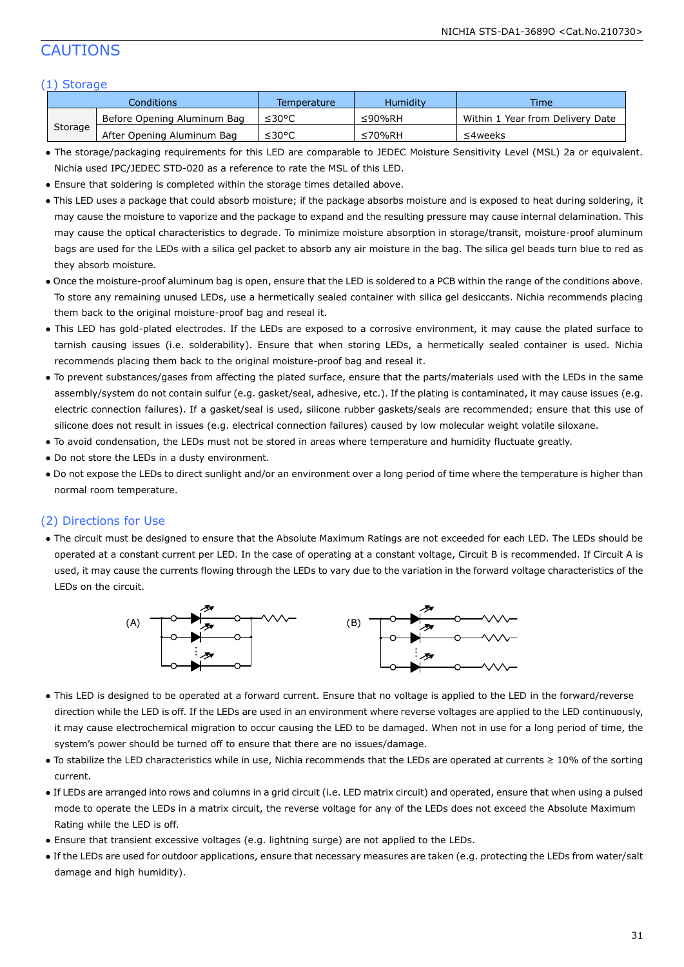#### CAUTIONS

#### (1) Storage

| Conditions |                             | Temperature | Humidity | <b>Time</b>                      |
|------------|-----------------------------|-------------|----------|----------------------------------|
| Storage    | Before Opening Aluminum Bag | ≤30°C       | ≤90%RH   | Within 1 Year from Delivery Date |
|            | After Opening Aluminum Bag  | ≤30°C       | ≤70%RH   | ≤4weeks                          |

- The storage/packaging requirements for this LED are comparable to JEDEC Moisture Sensitivity Level (MSL) 2a or equivalent. Nichia used IPC/JEDEC STD-020 as a reference to rate the MSL of this LED.
- Ensure that soldering is completed within the storage times detailed above.
- This LED uses a package that could absorb moisture; if the package absorbs moisture and is exposed to heat during soldering, it may cause the moisture to vaporize and the package to expand and the resulting pressure may cause internal delamination. This may cause the optical characteristics to degrade. To minimize moisture absorption in storage/transit, moisture-proof aluminum bags are used for the LEDs with a silica gel packet to absorb any air moisture in the bag. The silica gel beads turn blue to red as they absorb moisture.
- Once the moisture-proof aluminum bag is open, ensure that the LED is soldered to a PCB within the range of the conditions above. To store any remaining unused LEDs, use a hermetically sealed container with silica gel desiccants. Nichia recommends placing them back to the original moisture-proof bag and reseal it.
- This LED has gold-plated electrodes. If the LEDs are exposed to a corrosive environment, it may cause the plated surface to tarnish causing issues (i.e. solderability). Ensure that when storing LEDs, a hermetically sealed container is used. Nichia recommends placing them back to the original moisture-proof bag and reseal it.
- To prevent substances/gases from affecting the plated surface, ensure that the parts/materials used with the LEDs in the same assembly/system do not contain sulfur (e.g. gasket/seal, adhesive, etc.). If the plating is contaminated, it may cause issues (e.g. electric connection failures). If a gasket/seal is used, silicone rubber gaskets/seals are recommended; ensure that this use of silicone does not result in issues (e.g. electrical connection failures) caused by low molecular weight volatile siloxane.
- To avoid condensation, the LEDs must not be stored in areas where temperature and humidity fluctuate greatly.
- Do not store the LEDs in a dusty environment.
- Do not expose the LEDs to direct sunlight and/or an environment over a long period of time where the temperature is higher than normal room temperature.

#### (2) Directions for Use

● The circuit must be designed to ensure that the Absolute Maximum Ratings are not exceeded for each LED. The LEDs should be operated at a constant current per LED. In the case of operating at a constant voltage, Circuit B is recommended. If Circuit A is used, it may cause the currents flowing through the LEDs to vary due to the variation in the forward voltage characteristics of the LEDs on the circuit.



- This LED is designed to be operated at a forward current. Ensure that no voltage is applied to the LED in the forward/reverse direction while the LED is off. If the LEDs are used in an environment where reverse voltages are applied to the LED continuously, it may cause electrochemical migration to occur causing the LED to be damaged. When not in use for a long period of time, the system's power should be turned off to ensure that there are no issues/damage.
- To stabilize the LED characteristics while in use, Nichia recommends that the LEDs are operated at currents ≥ 10% of the sorting current.
- If LEDs are arranged into rows and columns in a grid circuit (i.e. LED matrix circuit) and operated, ensure that when using a pulsed mode to operate the LEDs in a matrix circuit, the reverse voltage for any of the LEDs does not exceed the Absolute Maximum Rating while the LED is off.
- Ensure that transient excessive voltages (e.g. lightning surge) are not applied to the LEDs.
- If the LEDs are used for outdoor applications, ensure that necessary measures are taken (e.g. protecting the LEDs from water/salt damage and high humidity).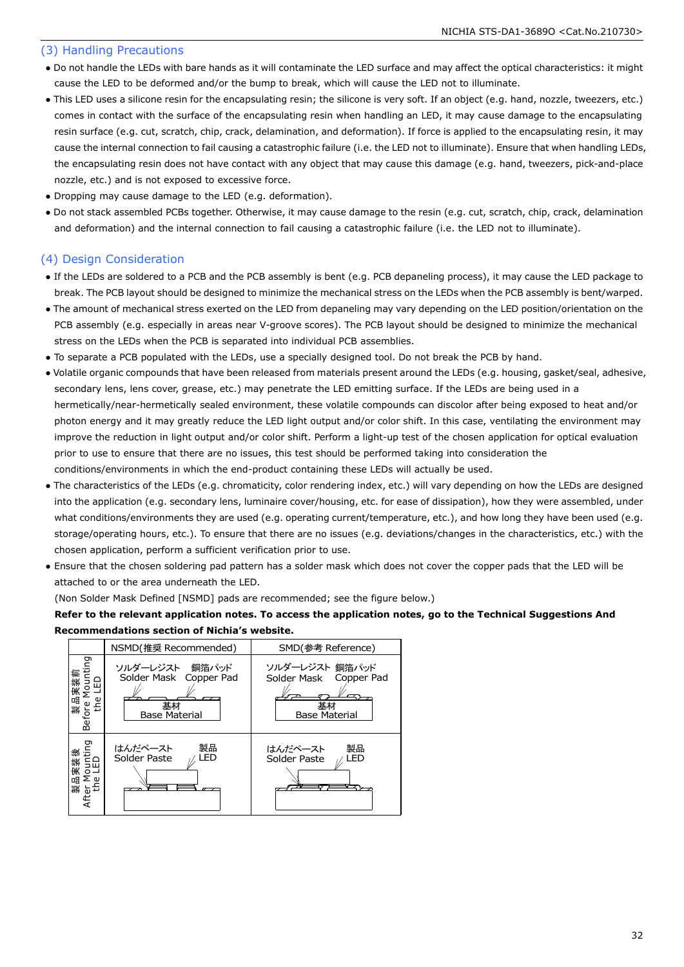#### (3) Handling Precautions

- Do not handle the LEDs with bare hands as it will contaminate the LED surface and may affect the optical characteristics: it might cause the LED to be deformed and/or the bump to break, which will cause the LED not to illuminate.
- This LED uses a silicone resin for the encapsulating resin; the silicone is very soft. If an object (e.g. hand, nozzle, tweezers, etc.) comes in contact with the surface of the encapsulating resin when handling an LED, it may cause damage to the encapsulating resin surface (e.g. cut, scratch, chip, crack, delamination, and deformation). If force is applied to the encapsulating resin, it may cause the internal connection to fail causing a catastrophic failure (i.e. the LED not to illuminate). Ensure that when handling LEDs, the encapsulating resin does not have contact with any object that may cause this damage (e.g. hand, tweezers, pick-and-place nozzle, etc.) and is not exposed to excessive force.
- Dropping may cause damage to the LED (e.g. deformation).
- Do not stack assembled PCBs together. Otherwise, it may cause damage to the resin (e.g. cut, scratch, chip, crack, delamination and deformation) and the internal connection to fail causing a catastrophic failure (i.e. the LED not to illuminate).

#### (4) Design Consideration

- If the LEDs are soldered to a PCB and the PCB assembly is bent (e.g. PCB depaneling process), it may cause the LED package to break. The PCB layout should be designed to minimize the mechanical stress on the LEDs when the PCB assembly is bent/warped.
- The amount of mechanical stress exerted on the LED from depaneling may vary depending on the LED position/orientation on the PCB assembly (e.g. especially in areas near V-groove scores). The PCB layout should be designed to minimize the mechanical stress on the LEDs when the PCB is separated into individual PCB assemblies.
- To separate a PCB populated with the LEDs, use a specially designed tool. Do not break the PCB by hand.
- Volatile organic compounds that have been released from materials present around the LEDs (e.g. housing, gasket/seal, adhesive, secondary lens, lens cover, grease, etc.) may penetrate the LED emitting surface. If the LEDs are being used in a hermetically/near-hermetically sealed environment, these volatile compounds can discolor after being exposed to heat and/or photon energy and it may greatly reduce the LED light output and/or color shift. In this case, ventilating the environment may improve the reduction in light output and/or color shift. Perform a light-up test of the chosen application for optical evaluation prior to use to ensure that there are no issues, this test should be performed taking into consideration the conditions/environments in which the end-product containing these LEDs will actually be used.
- The characteristics of the LEDs (e.g. chromaticity, color rendering index, etc.) will vary depending on how the LEDs are designed into the application (e.g. secondary lens, luminaire cover/housing, etc. for ease of dissipation), how they were assembled, under what conditions/environments they are used (e.g. operating current/temperature, etc.), and how long they have been used (e.g. storage/operating hours, etc.). To ensure that there are no issues (e.g. deviations/changes in the characteristics, etc.) with the chosen application, perform a sufficient verification prior to use.
- Ensure that the chosen soldering pad pattern has a solder mask which does not cover the copper pads that the LED will be attached to or the area underneath the LED.

(Non Solder Mask Defined [NSMD] pads are recommended; see the figure below.)

#### **Refer to the relevant application notes. To access the application notes, go to the Technical Suggestions And Recommendations section of Nichia's website.**

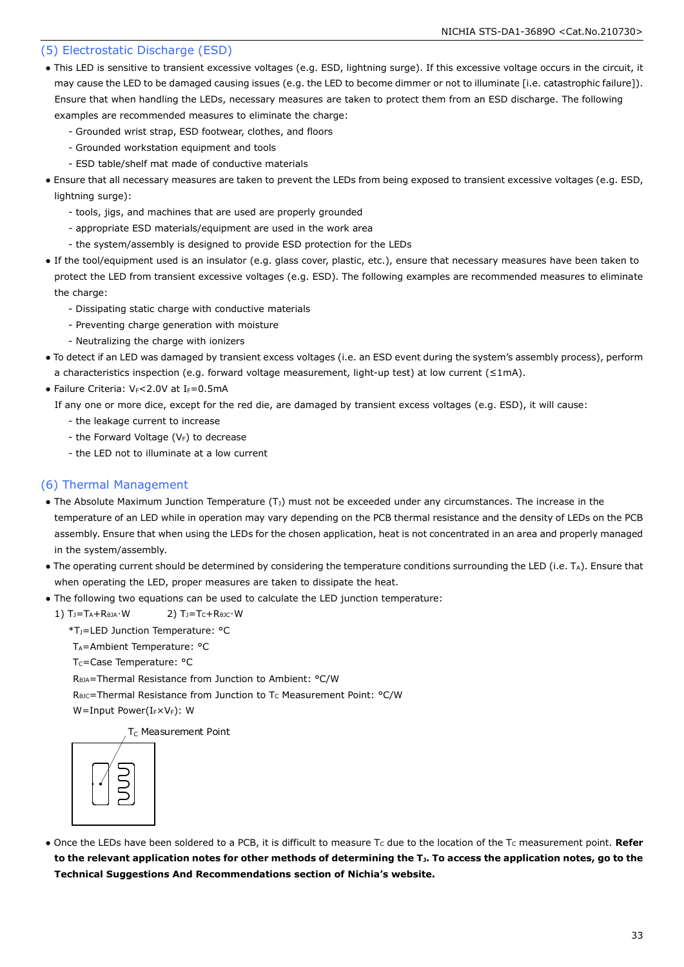#### (5) Electrostatic Discharge (ESD)

- This LED is sensitive to transient excessive voltages (e.g. ESD, lightning surge). If this excessive voltage occurs in the circuit, it may cause the LED to be damaged causing issues (e.g. the LED to become dimmer or not to illuminate [i.e. catastrophic failure]). Ensure that when handling the LEDs, necessary measures are taken to protect them from an ESD discharge. The following examples are recommended measures to eliminate the charge:
	- Grounded wrist strap, ESD footwear, clothes, and floors
	- Grounded workstation equipment and tools
	- ESD table/shelf mat made of conductive materials
- Ensure that all necessary measures are taken to prevent the LEDs from being exposed to transient excessive voltages (e.g. ESD, lightning surge):
	- tools, jigs, and machines that are used are properly grounded
	- appropriate ESD materials/equipment are used in the work area
	- the system/assembly is designed to provide ESD protection for the LEDs
- If the tool/equipment used is an insulator (e.g. glass cover, plastic, etc.), ensure that necessary measures have been taken to protect the LED from transient excessive voltages (e.g. ESD). The following examples are recommended measures to eliminate the charge:
	- Dissipating static charge with conductive materials
	- Preventing charge generation with moisture
	- Neutralizing the charge with ionizers
- To detect if an LED was damaged by transient excess voltages (i.e. an ESD event during the system's assembly process), perform a characteristics inspection (e.g. forward voltage measurement, light-up test) at low current (≤1mA).
- Failure Criteria:  $V_F < 2.0V$  at I $_F = 0.5mA$

If any one or more dice, except for the red die, are damaged by transient excess voltages (e.g. ESD), it will cause:

- the leakage current to increase
- the Forward Voltage  $(V_F)$  to decrease
- the LED not to illuminate at a low current

#### (6) Thermal Management

- The Absolute Maximum Junction Temperature  $(T<sub>J</sub>)$  must not be exceeded under any circumstances. The increase in the temperature of an LED while in operation may vary depending on the PCB thermal resistance and the density of LEDs on the PCB assembly. Ensure that when using the LEDs for the chosen application, heat is not concentrated in an area and properly managed in the system/assembly.
- The operating current should be determined by considering the temperature conditions surrounding the LED (i.e. TA). Ensure that when operating the LED, proper measures are taken to dissipate the heat.
- The following two equations can be used to calculate the LED junction temperature:
	- 1)  $T_J = T_A + R_{\thetaJA} \cdot W$  2)  $T_J = T_C + R_{\thetaJC} \cdot W$ 
		- \*TJ=LED Junction Temperature: °C
		- T<sub>A</sub>=Ambient Temperature: °C
		- T<sub>C</sub>=Case Temperature: °C

RθJA=Thermal Resistance from Junction to Ambient: °C/W

R<sub>θJC</sub>=Thermal Resistance from Junction to T<sub>C</sub> Measurement Point: °C/W

W=Input Power(IFXVF): W

T<sub>C</sub> Measurement Point



• Once the LEDs have been soldered to a PCB, it is difficult to measure T<sub>c</sub> due to the location of the T<sub>C</sub> measurement point. **Refer to the relevant application notes for other methods of determining the TJ. To access the application notes, go to the Technical Suggestions And Recommendations section of Nichia's website.**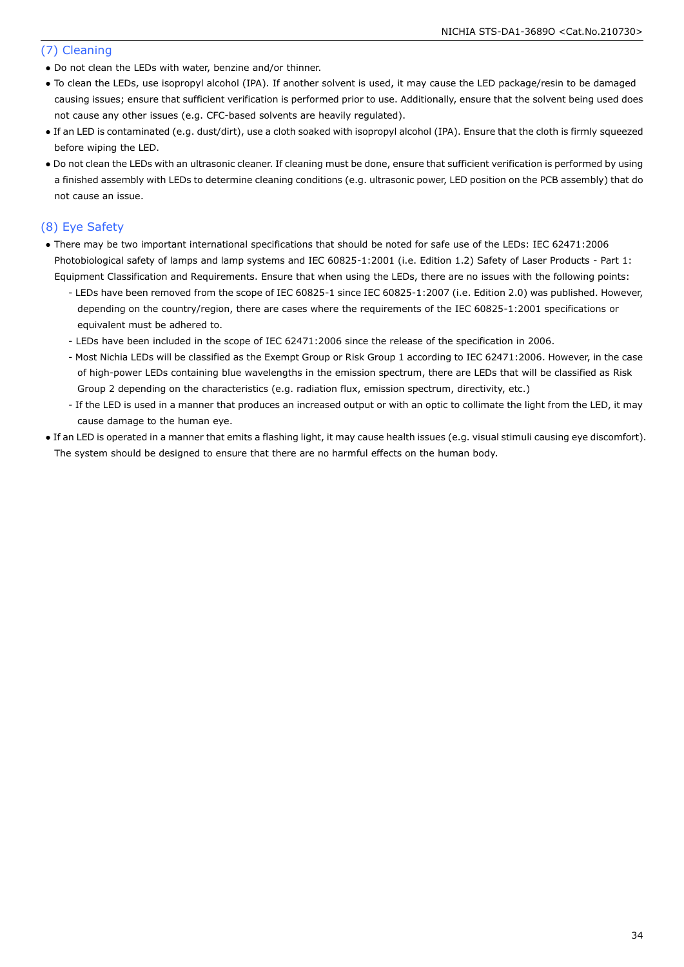#### (7) Cleaning

- Do not clean the LEDs with water, benzine and/or thinner.
- To clean the LEDs, use isopropyl alcohol (IPA). If another solvent is used, it may cause the LED package/resin to be damaged causing issues; ensure that sufficient verification is performed prior to use. Additionally, ensure that the solvent being used does not cause any other issues (e.g. CFC-based solvents are heavily regulated).
- If an LED is contaminated (e.g. dust/dirt), use a cloth soaked with isopropyl alcohol (IPA). Ensure that the cloth is firmly squeezed before wiping the LED.
- Do not clean the LEDs with an ultrasonic cleaner. If cleaning must be done, ensure that sufficient verification is performed by using a finished assembly with LEDs to determine cleaning conditions (e.g. ultrasonic power, LED position on the PCB assembly) that do not cause an issue.

#### (8) Eye Safety

- There may be two important international specifications that should be noted for safe use of the LEDs: IEC 62471:2006 Photobiological safety of lamps and lamp systems and IEC 60825-1:2001 (i.e. Edition 1.2) Safety of Laser Products - Part 1: Equipment Classification and Requirements. Ensure that when using the LEDs, there are no issues with the following points:
	- LEDs have been removed from the scope of IEC 60825-1 since IEC 60825-1:2007 (i.e. Edition 2.0) was published. However, depending on the country/region, there are cases where the requirements of the IEC 60825-1:2001 specifications or equivalent must be adhered to.
	- LEDs have been included in the scope of IEC 62471:2006 since the release of the specification in 2006.
	- Most Nichia LEDs will be classified as the Exempt Group or Risk Group 1 according to IEC 62471:2006. However, in the case of high-power LEDs containing blue wavelengths in the emission spectrum, there are LEDs that will be classified as Risk Group 2 depending on the characteristics (e.g. radiation flux, emission spectrum, directivity, etc.)
	- If the LED is used in a manner that produces an increased output or with an optic to collimate the light from the LED, it may cause damage to the human eye.
- If an LED is operated in a manner that emits a flashing light, it may cause health issues (e.g. visual stimuli causing eye discomfort). The system should be designed to ensure that there are no harmful effects on the human body.